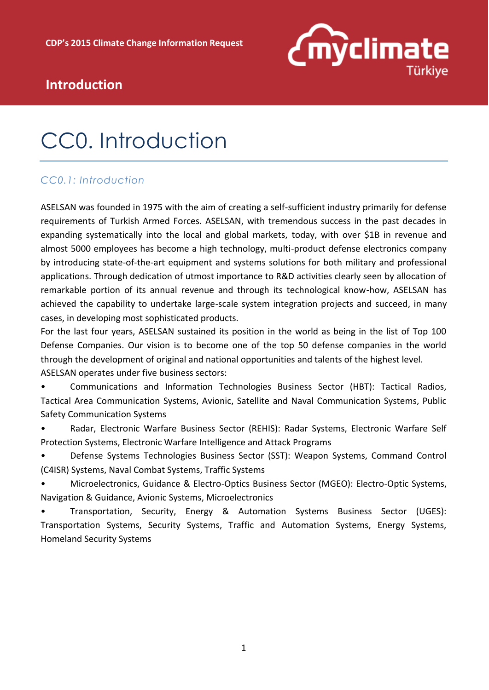

### **Introduction**

## CC0. Introduction

### *CC0.1: Introduction*

ASELSAN was founded in 1975 with the aim of creating a self-sufficient industry primarily for defense requirements of Turkish Armed Forces. ASELSAN, with tremendous success in the past decades in expanding systematically into the local and global markets, today, with over \$1B in revenue and almost 5000 employees has become a high technology, multi-product defense electronics company by introducing state-of-the-art equipment and systems solutions for both military and professional applications. Through dedication of utmost importance to R&D activities clearly seen by allocation of remarkable portion of its annual revenue and through its technological know-how, ASELSAN has achieved the capability to undertake large-scale system integration projects and succeed, in many cases, in developing most sophisticated products.

For the last four years, ASELSAN sustained its position in the world as being in the list of Top 100 Defense Companies. Our vision is to become one of the top 50 defense companies in the world through the development of original and national opportunities and talents of the highest level. ASELSAN operates under five business sectors:

• Communications and Information Technologies Business Sector (HBT): Tactical Radios, Tactical Area Communication Systems, Avionic, Satellite and Naval Communication Systems, Public Safety Communication Systems

• Radar, Electronic Warfare Business Sector (REHIS): Radar Systems, Electronic Warfare Self Protection Systems, Electronic Warfare Intelligence and Attack Programs

• Defense Systems Technologies Business Sector (SST): Weapon Systems, Command Control (C4ISR) Systems, Naval Combat Systems, Traffic Systems

• Microelectronics, Guidance & Electro-Optics Business Sector (MGEO): Electro-Optic Systems, Navigation & Guidance, Avionic Systems, Microelectronics

• Transportation, Security, Energy & Automation Systems Business Sector (UGES): Transportation Systems, Security Systems, Traffic and Automation Systems, Energy Systems, Homeland Security Systems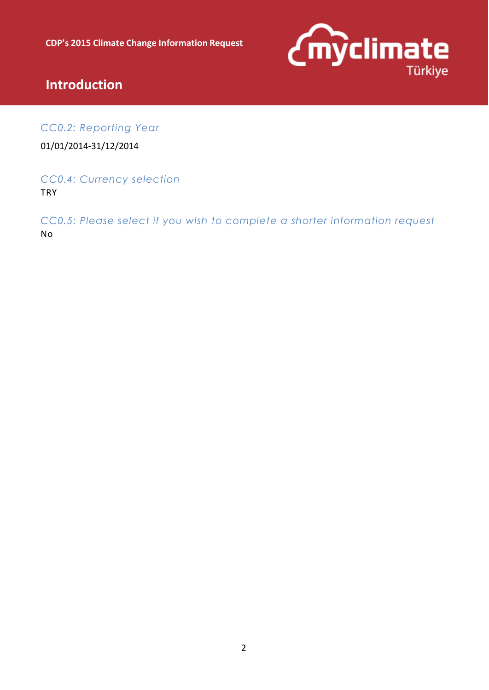

### **Introduction**

*CC0.2: Reporting Year* 

01/01/2014-31/12/2014

*CC0.4: Currency selection*  **TRY** 

*CC0.5: Please select if you wish to complete a shorter information request*  No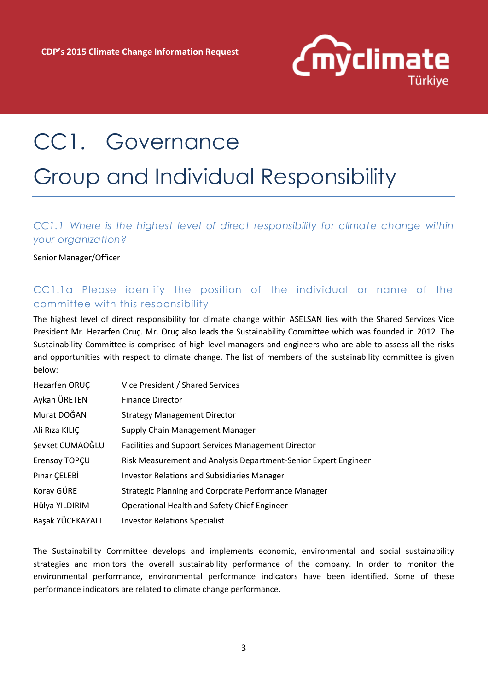

## CC1. Governance

### Group and Individual Responsibility

*CC1.1 Where is the highest level of direct responsibility for climate change within your organization?*

Senior Manager/Officer

#### CC1.1a Please identify the position of the individual or name of the committee with this responsibility

The highest level of direct responsibility for climate change within ASELSAN lies with the Shared Services Vice President Mr. Hezarfen Oruç. Mr. Oruç also leads the Sustainability Committee which was founded in 2012. The Sustainability Committee is comprised of high level managers and engineers who are able to assess all the risks and opportunities with respect to climate change. The list of members of the sustainability committee is given below:

| Hezarfen ORUC    | Vice President / Shared Services                                |
|------------------|-----------------------------------------------------------------|
| Aykan ÜRETEN     | <b>Finance Director</b>                                         |
| Murat DOĞAN      | <b>Strategy Management Director</b>                             |
| Ali Rıza KILIÇ   | Supply Chain Management Manager                                 |
| Şevket CUMAOĞLU  | Facilities and Support Services Management Director             |
| Erensoy TOPÇU    | Risk Measurement and Analysis Department-Senior Expert Engineer |
| Pinar CELEBİ     | <b>Investor Relations and Subsidiaries Manager</b>              |
| Koray GÜRE       | Strategic Planning and Corporate Performance Manager            |
| Hülya YILDIRIM   | Operational Health and Safety Chief Engineer                    |
| Başak YÜCEKAYALI | <b>Investor Relations Specialist</b>                            |
|                  |                                                                 |

The Sustainability Committee develops and implements economic, environmental and social sustainability strategies and monitors the overall sustainability performance of the company. In order to monitor the environmental performance, environmental performance indicators have been identified. Some of these performance indicators are related to climate change performance.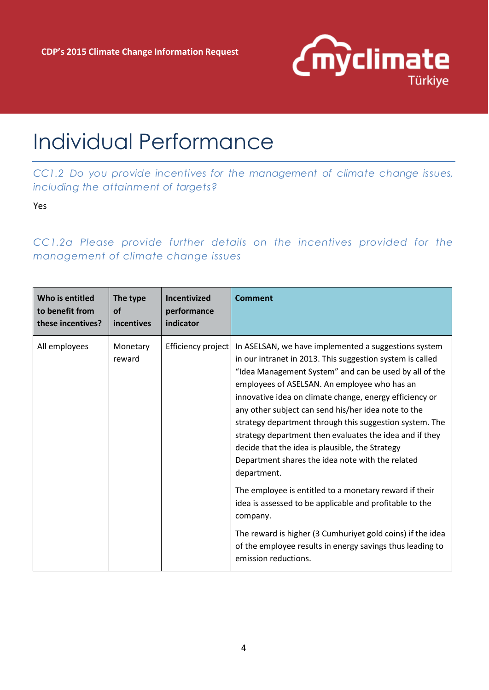

## Individual Performance

*CC1.2 Do you provide incentives for the management of climate change issues, including the attainment of targets?*

Yes

*CC1.2a Please provide further details on the incentives provided for the management of climate change issues*

| Who is entitled   | The type           | Incentivized       | Comment                                                                                                                                                                                                                                                                                                                                                                                                                                                                                                                                                                                                                                                                                                                                                                                                                                                                       |
|-------------------|--------------------|--------------------|-------------------------------------------------------------------------------------------------------------------------------------------------------------------------------------------------------------------------------------------------------------------------------------------------------------------------------------------------------------------------------------------------------------------------------------------------------------------------------------------------------------------------------------------------------------------------------------------------------------------------------------------------------------------------------------------------------------------------------------------------------------------------------------------------------------------------------------------------------------------------------|
| to benefit from   | <b>of</b>          | performance        |                                                                                                                                                                                                                                                                                                                                                                                                                                                                                                                                                                                                                                                                                                                                                                                                                                                                               |
| these incentives? | incentives         | indicator          |                                                                                                                                                                                                                                                                                                                                                                                                                                                                                                                                                                                                                                                                                                                                                                                                                                                                               |
| All employees     | Monetary<br>reward | Efficiency project | In ASELSAN, we have implemented a suggestions system<br>in our intranet in 2013. This suggestion system is called<br>"Idea Management System" and can be used by all of the<br>employees of ASELSAN. An employee who has an<br>innovative idea on climate change, energy efficiency or<br>any other subject can send his/her idea note to the<br>strategy department through this suggestion system. The<br>strategy department then evaluates the idea and if they<br>decide that the idea is plausible, the Strategy<br>Department shares the idea note with the related<br>department.<br>The employee is entitled to a monetary reward if their<br>idea is assessed to be applicable and profitable to the<br>company.<br>The reward is higher (3 Cumhuriyet gold coins) if the idea<br>of the employee results in energy savings thus leading to<br>emission reductions. |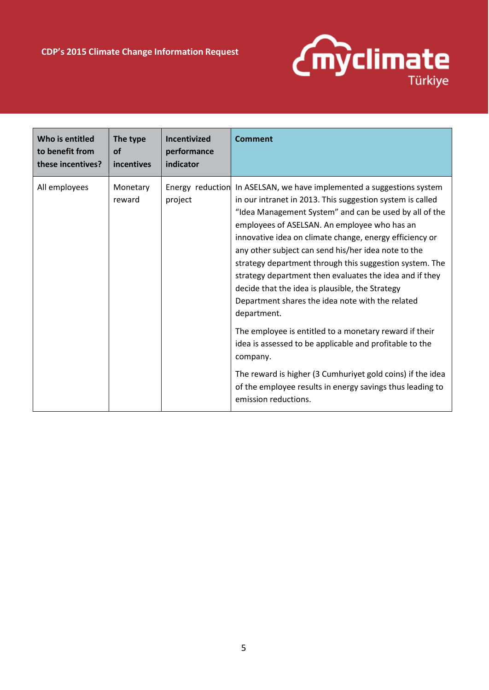

| Who is entitled   | The type           | Incentivized | Comment                                                                                                                                                                                                                                                                                                                                                                                                                                                                                                                                                                                                                                                                                                                                                                                                                                                                                        |
|-------------------|--------------------|--------------|------------------------------------------------------------------------------------------------------------------------------------------------------------------------------------------------------------------------------------------------------------------------------------------------------------------------------------------------------------------------------------------------------------------------------------------------------------------------------------------------------------------------------------------------------------------------------------------------------------------------------------------------------------------------------------------------------------------------------------------------------------------------------------------------------------------------------------------------------------------------------------------------|
| to benefit from   | <b>of</b>          | performance  |                                                                                                                                                                                                                                                                                                                                                                                                                                                                                                                                                                                                                                                                                                                                                                                                                                                                                                |
| these incentives? | incentives         | indicator    |                                                                                                                                                                                                                                                                                                                                                                                                                                                                                                                                                                                                                                                                                                                                                                                                                                                                                                |
| All employees     | Monetary<br>reward | project      | Energy reduction In ASELSAN, we have implemented a suggestions system<br>in our intranet in 2013. This suggestion system is called<br>"Idea Management System" and can be used by all of the<br>employees of ASELSAN. An employee who has an<br>innovative idea on climate change, energy efficiency or<br>any other subject can send his/her idea note to the<br>strategy department through this suggestion system. The<br>strategy department then evaluates the idea and if they<br>decide that the idea is plausible, the Strategy<br>Department shares the idea note with the related<br>department.<br>The employee is entitled to a monetary reward if their<br>idea is assessed to be applicable and profitable to the<br>company.<br>The reward is higher (3 Cumhuriyet gold coins) if the idea<br>of the employee results in energy savings thus leading to<br>emission reductions. |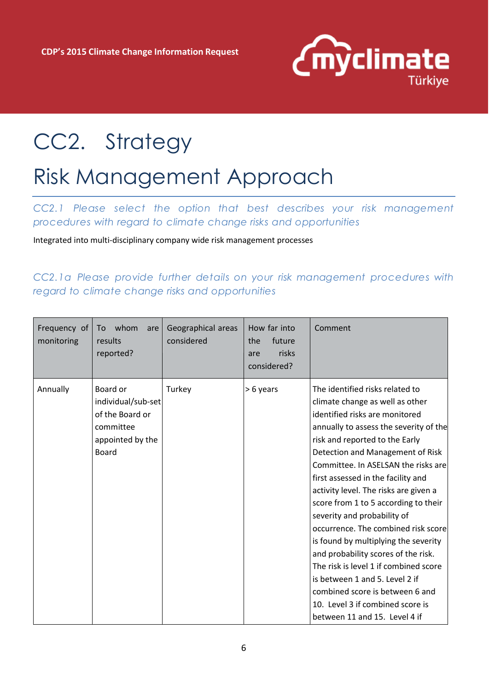

# CC2. Strategy

### Risk Management Approach

*CC2.1 Please select the option that best describes your risk management procedures with regard to climate change risks and opportunities*

Integrated into multi-disciplinary company wide risk management processes

*CC2.1a Please provide further details on your risk management procedures with regard to climate change risks and opportunities* 

| Frequency of<br>monitoring | whom<br>To<br>are<br>results<br>reported?                                                   | Geographical areas<br>considered | How far into<br>future<br>the<br>risks<br>are<br>considered? | Comment                                                                                                                                                                                                                                                                                                                                                                                                                                                                                                                                                                                                                                                                                                                    |
|----------------------------|---------------------------------------------------------------------------------------------|----------------------------------|--------------------------------------------------------------|----------------------------------------------------------------------------------------------------------------------------------------------------------------------------------------------------------------------------------------------------------------------------------------------------------------------------------------------------------------------------------------------------------------------------------------------------------------------------------------------------------------------------------------------------------------------------------------------------------------------------------------------------------------------------------------------------------------------------|
| Annually                   | Board or<br>individual/sub-set<br>of the Board or<br>committee<br>appointed by the<br>Board | Turkey                           | > 6 years                                                    | The identified risks related to<br>climate change as well as other<br>identified risks are monitored<br>annually to assess the severity of the<br>risk and reported to the Early<br>Detection and Management of Risk<br>Committee. In ASELSAN the risks are<br>first assessed in the facility and<br>activity level. The risks are given a<br>score from 1 to 5 according to their<br>severity and probability of<br>occurrence. The combined risk score<br>is found by multiplying the severity<br>and probability scores of the risk.<br>The risk is level 1 if combined score<br>is between 1 and 5. Level 2 if<br>combined score is between 6 and<br>10. Level 3 if combined score is<br>between 11 and 15. Level 4 if |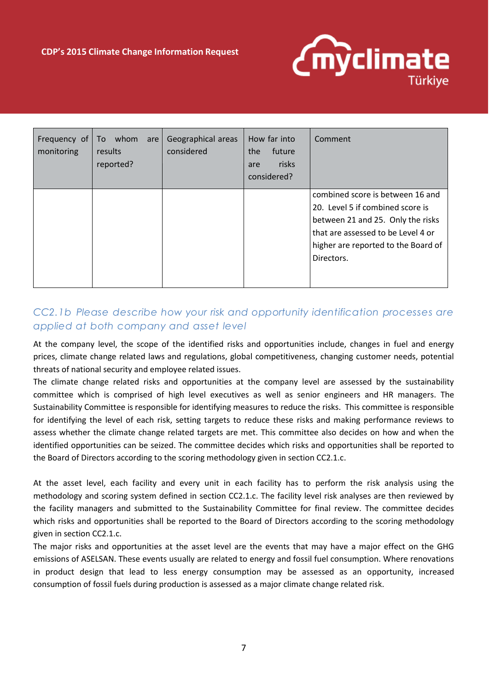

| Frequency of<br>monitoring | To whom<br>are<br>results<br>reported? | Geographical areas<br>considered | How far into<br>future<br>the<br>risks<br>are<br>considered? | Comment                                                                                                                                                                                              |
|----------------------------|----------------------------------------|----------------------------------|--------------------------------------------------------------|------------------------------------------------------------------------------------------------------------------------------------------------------------------------------------------------------|
|                            |                                        |                                  |                                                              | combined score is between 16 and<br>20. Level 5 if combined score is<br>between 21 and 25. Only the risks<br>that are assessed to be Level 4 or<br>higher are reported to the Board of<br>Directors. |

### *CC2.1b Please describe how your risk and opportunity identification processes are applied at both company and asset level*

At the company level, the scope of the identified risks and opportunities include, changes in fuel and energy prices, climate change related laws and regulations, global competitiveness, changing customer needs, potential threats of national security and employee related issues.

The climate change related risks and opportunities at the company level are assessed by the sustainability committee which is comprised of high level executives as well as senior engineers and HR managers. The Sustainability Committee is responsible for identifying measures to reduce the risks. This committee is responsible for identifying the level of each risk, setting targets to reduce these risks and making performance reviews to assess whether the climate change related targets are met. This committee also decides on how and when the identified opportunities can be seized. The committee decides which risks and opportunities shall be reported to the Board of Directors according to the scoring methodology given in section CC2.1.c.

At the asset level, each facility and every unit in each facility has to perform the risk analysis using the methodology and scoring system defined in section CC2.1.c. The facility level risk analyses are then reviewed by the facility managers and submitted to the Sustainability Committee for final review. The committee decides which risks and opportunities shall be reported to the Board of Directors according to the scoring methodology given in section CC2.1.c.

The major risks and opportunities at the asset level are the events that may have a major effect on the GHG emissions of ASELSAN. These events usually are related to energy and fossil fuel consumption. Where renovations in product design that lead to less energy consumption may be assessed as an opportunity, increased consumption of fossil fuels during production is assessed as a major climate change related risk.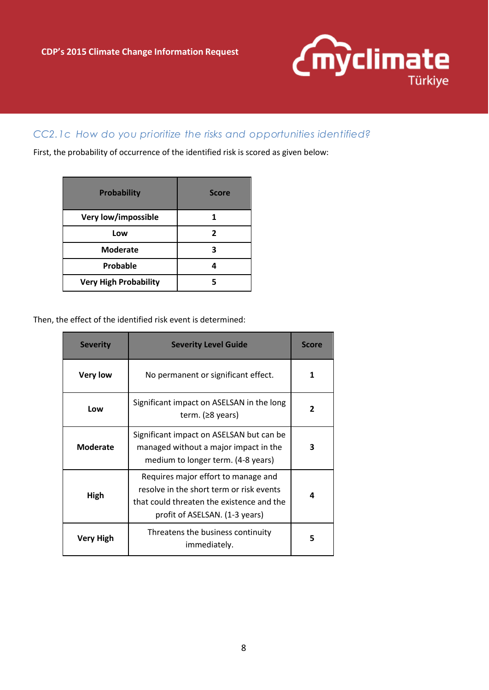

#### *CC2.1c How do you prioritize the risks and opportunities identified?*

First, the probability of occurrence of the identified risk is scored as given below:

| <b>Probability</b>           | <b>Score</b> |
|------------------------------|--------------|
| Very low/impossible          |              |
| Low                          | 2            |
| <b>Moderate</b>              | 3            |
| Probable                     |              |
| <b>Very High Probability</b> |              |

Then, the effect of the identified risk event is determined:

| <b>Severity</b> | <b>Severity Level Guide</b>                                                                                                                                    | Score          |
|-----------------|----------------------------------------------------------------------------------------------------------------------------------------------------------------|----------------|
| <b>Very low</b> | No permanent or significant effect.                                                                                                                            | 1              |
| Low             | Significant impact on ASELSAN in the long<br>term. $(28 \text{ years})$                                                                                        | $\overline{2}$ |
| <b>Moderate</b> | Significant impact on ASELSAN but can be<br>managed without a major impact in the<br>medium to longer term. (4-8 years)                                        | 3              |
| High            | Requires major effort to manage and<br>resolve in the short term or risk events<br>that could threaten the existence and the<br>profit of ASELSAN. (1-3 years) | 4              |
| Very High       | Threatens the business continuity<br>immediately.                                                                                                              | 5              |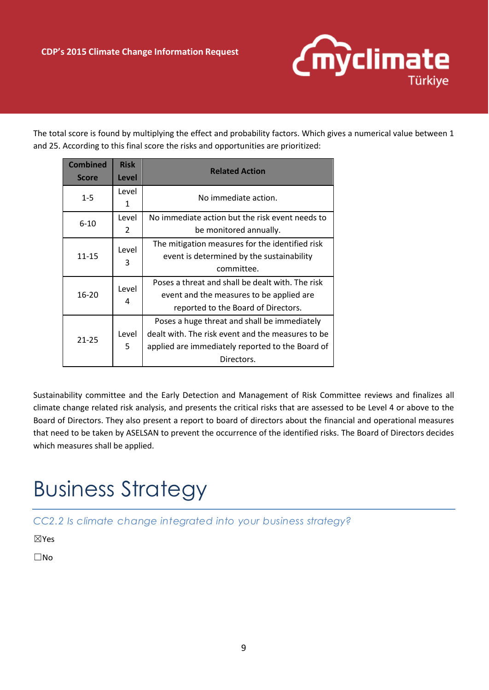

The total score is found by multiplying the effect and probability factors. Which gives a numerical value between 1 and 25. According to this final score the risks and opportunities are prioritized:

| <b>Combined</b><br><b>Score</b> | <b>Risk</b><br>Level | <b>Related Action</b>                                                                                                                                               |  |
|---------------------------------|----------------------|---------------------------------------------------------------------------------------------------------------------------------------------------------------------|--|
| $1 - 5$                         | Level<br>1           | No immediate action.                                                                                                                                                |  |
| $6 - 10$                        | Level<br>2           | No immediate action but the risk event needs to<br>be monitored annually.                                                                                           |  |
| $11 - 15$                       | Level<br>3           | The mitigation measures for the identified risk<br>event is determined by the sustainability<br>committee.                                                          |  |
| $16 - 20$                       | Level<br>4           | Poses a threat and shall be dealt with. The risk<br>event and the measures to be applied are<br>reported to the Board of Directors.                                 |  |
| $21 - 25$                       | Level<br>5           | Poses a huge threat and shall be immediately<br>dealt with. The risk event and the measures to be<br>applied are immediately reported to the Board of<br>Directors. |  |

Sustainability committee and the Early Detection and Management of Risk Committee reviews and finalizes all climate change related risk analysis, and presents the critical risks that are assessed to be Level 4 or above to the Board of Directors. They also present a report to board of directors about the financial and operational measures that need to be taken by ASELSAN to prevent the occurrence of the identified risks. The Board of Directors decides which measures shall be applied.

# Business Strategy

*CC2.2 Is climate change integrated into your business strategy?*

☒Yes

☐No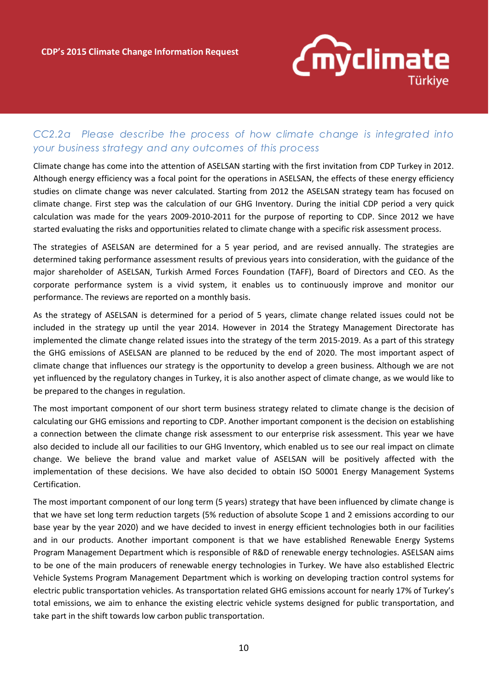

### *CC2.2a Please describe the process of how climate change is integrated into your business strategy and any outcomes of this process*

Climate change has come into the attention of ASELSAN starting with the first invitation from CDP Turkey in 2012. Although energy efficiency was a focal point for the operations in ASELSAN, the effects of these energy efficiency studies on climate change was never calculated. Starting from 2012 the ASELSAN strategy team has focused on climate change. First step was the calculation of our GHG Inventory. During the initial CDP period a very quick calculation was made for the years 2009-2010-2011 for the purpose of reporting to CDP. Since 2012 we have started evaluating the risks and opportunities related to climate change with a specific risk assessment process.

The strategies of ASELSAN are determined for a 5 year period, and are revised annually. The strategies are determined taking performance assessment results of previous years into consideration, with the guidance of the major shareholder of ASELSAN, Turkish Armed Forces Foundation (TAFF), Board of Directors and CEO. As the corporate performance system is a vivid system, it enables us to continuously improve and monitor our performance. The reviews are reported on a monthly basis.

As the strategy of ASELSAN is determined for a period of 5 years, climate change related issues could not be included in the strategy up until the year 2014. However in 2014 the Strategy Management Directorate has implemented the climate change related issues into the strategy of the term 2015-2019. As a part of this strategy the GHG emissions of ASELSAN are planned to be reduced by the end of 2020. The most important aspect of climate change that influences our strategy is the opportunity to develop a green business. Although we are not yet influenced by the regulatory changes in Turkey, it is also another aspect of climate change, as we would like to be prepared to the changes in regulation.

The most important component of our short term business strategy related to climate change is the decision of calculating our GHG emissions and reporting to CDP. Another important component is the decision on establishing a connection between the climate change risk assessment to our enterprise risk assessment. This year we have also decided to include all our facilities to our GHG Inventory, which enabled us to see our real impact on climate change. We believe the brand value and market value of ASELSAN will be positively affected with the implementation of these decisions. We have also decided to obtain ISO 50001 Energy Management Systems Certification.

The most important component of our long term (5 years) strategy that have been influenced by climate change is that we have set long term reduction targets (5% reduction of absolute Scope 1 and 2 emissions according to our base year by the year 2020) and we have decided to invest in energy efficient technologies both in our facilities and in our products. Another important component is that we have established Renewable Energy Systems Program Management Department which is responsible of R&D of renewable energy technologies. ASELSAN aims to be one of the main producers of renewable energy technologies in Turkey. We have also established Electric Vehicle Systems Program Management Department which is working on developing traction control systems for electric public transportation vehicles. As transportation related GHG emissions account for nearly 17% of Turkey's total emissions, we aim to enhance the existing electric vehicle systems designed for public transportation, and take part in the shift towards low carbon public transportation.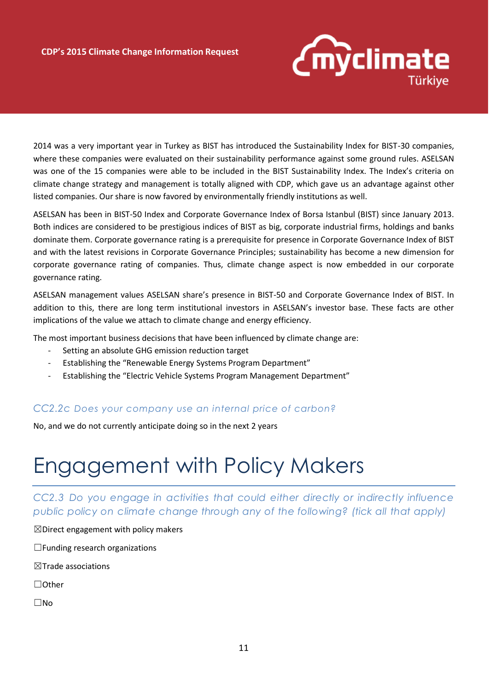

2014 was a very important year in Turkey as BIST has introduced the Sustainability Index for BIST-30 companies, where these companies were evaluated on their sustainability performance against some ground rules. ASELSAN was one of the 15 companies were able to be included in the BIST Sustainability Index. The Index's criteria on climate change strategy and management is totally aligned with CDP, which gave us an advantage against other listed companies. Our share is now favored by environmentally friendly institutions as well.

ASELSAN has been in BIST-50 Index and Corporate Governance Index of Borsa Istanbul (BIST) since January 2013. Both indices are considered to be prestigious indices of BIST as big, corporate industrial firms, holdings and banks dominate them. Corporate governance rating is a prerequisite for presence in Corporate Governance Index of BIST and with the latest revisions in Corporate Governance Principles; sustainability has become a new dimension for corporate governance rating of companies. Thus, climate change aspect is now embedded in our corporate governance rating.

ASELSAN management values ASELSAN share's presence in BIST-50 and Corporate Governance Index of BIST. In addition to this, there are long term institutional investors in ASELSAN's investor base. These facts are other implications of the value we attach to climate change and energy efficiency.

The most important business decisions that have been influenced by climate change are:

- Setting an absolute GHG emission reduction target
- Establishing the "Renewable Energy Systems Program Department"
- Establishing the "Electric Vehicle Systems Program Management Department"

#### *CC2.2c Does your company use an internal price of carbon?*

No, and we do not currently anticipate doing so in the next 2 years

### Engagement with Policy Makers

*CC2.3 Do you engage in activities that could either directly or indirectly influence public policy on climate change through any of the following? (tick all that apply)*

 $\boxtimes$ Direct engagement with policy makers

 $\Box$  Funding research organizations

 $\boxtimes$ Trade associations

☐Other

☐No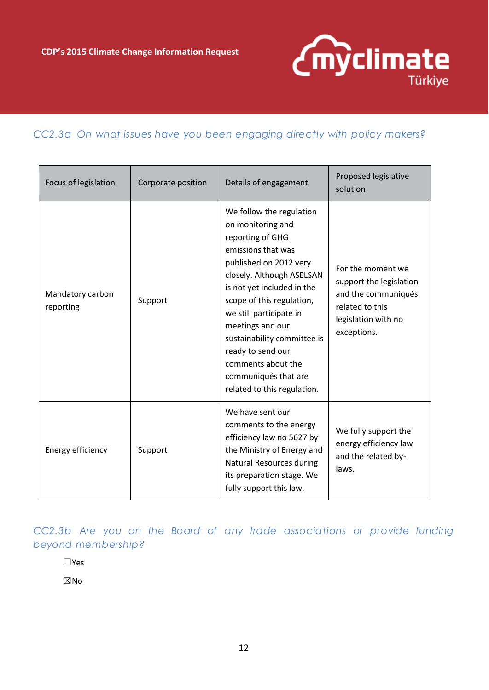

#### *CC2.3a On what issues have you been engaging directly with policy makers?*

| Focus of legislation          | Corporate position | Details of engagement                                                                                                                                                                                                                                                                                                                                                                     | Proposed legislative<br>solution                                                                                             |
|-------------------------------|--------------------|-------------------------------------------------------------------------------------------------------------------------------------------------------------------------------------------------------------------------------------------------------------------------------------------------------------------------------------------------------------------------------------------|------------------------------------------------------------------------------------------------------------------------------|
| Mandatory carbon<br>reporting | Support            | We follow the regulation<br>on monitoring and<br>reporting of GHG<br>emissions that was<br>published on 2012 very<br>closely. Although ASELSAN<br>is not yet included in the<br>scope of this regulation,<br>we still participate in<br>meetings and our<br>sustainability committee is<br>ready to send our<br>comments about the<br>communiqués that are<br>related to this regulation. | For the moment we<br>support the legislation<br>and the communiqués<br>related to this<br>legislation with no<br>exceptions. |
| Energy efficiency             | Support            | We have sent our<br>comments to the energy<br>efficiency law no 5627 by<br>the Ministry of Energy and<br><b>Natural Resources during</b><br>its preparation stage. We<br>fully support this law.                                                                                                                                                                                          | We fully support the<br>energy efficiency law<br>and the related by-<br>laws.                                                |

*CC2.3b Are you on the Board of any trade associations or provide funding beyond membership?*

☐Yes

☒No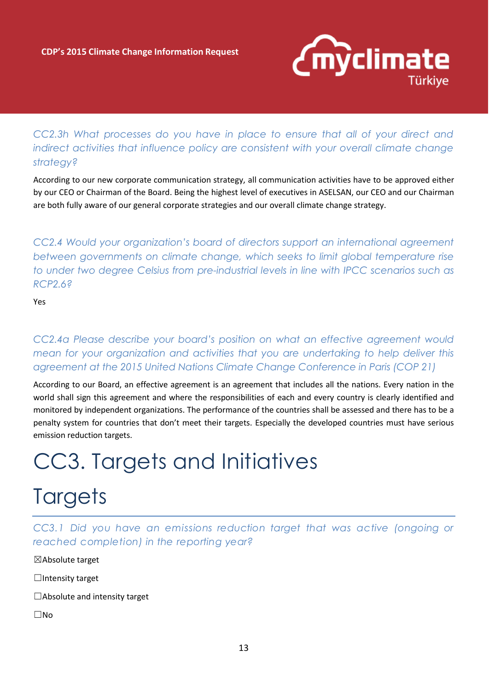

### *CC2.3h What processes do you have in place to ensure that all of your direct and indirect activities that influence policy are consistent with your overall climate change strategy?*

According to our new corporate communication strategy, all communication activities have to be approved either by our CEO or Chairman of the Board. Being the highest level of executives in ASELSAN, our CEO and our Chairman are both fully aware of our general corporate strategies and our overall climate change strategy.

*CC2.4 Would your organization's board of directors support an international agreement between governments on climate change, which seeks to limit global temperature rise to under two degree Celsius from pre-industrial levels in line with IPCC scenarios such as RCP2.6?* 

Yes

*CC2.4a Please describe your board's position on what an effective agreement would mean for your organization and activities that you are undertaking to help deliver this agreement at the 2015 United Nations Climate Change Conference in Paris (COP 21)* 

According to our Board, an effective agreement is an agreement that includes all the nations. Every nation in the world shall sign this agreement and where the responsibilities of each and every country is clearly identified and monitored by independent organizations. The performance of the countries shall be assessed and there has to be a penalty system for countries that don't meet their targets. Especially the developed countries must have serious emission reduction targets.

## CC3. Targets and Initiatives

## **Targets**

*CC3.1 Did you have an emissions reduction target that was active (ongoing or reached completion) in the reporting year?*

☒Absolute target

□Intensity target

☐Absolute and intensity target

☐No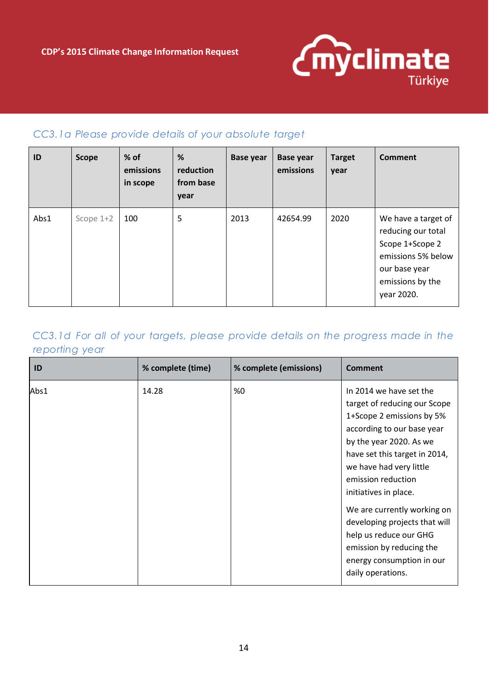

#### *CC3.1a Please provide details of your absolute target*

| ID   | <b>Scope</b> | $%$ of<br>emissions<br>in scope | %<br>reduction<br>from base<br>year | <b>Base year</b> | <b>Base year</b><br>emissions | <b>Target</b><br>year | <b>Comment</b>                                                                                                                        |
|------|--------------|---------------------------------|-------------------------------------|------------------|-------------------------------|-----------------------|---------------------------------------------------------------------------------------------------------------------------------------|
| Abs1 | Scope 1+2    | 100                             | 5                                   | 2013             | 42654.99                      | 2020                  | We have a target of<br>reducing our total<br>Scope 1+Scope 2<br>emissions 5% below<br>our base year<br>emissions by the<br>year 2020. |

### *CC3.1d For all of your targets, please provide details on the progress made in the reporting year*

| ID   | % complete (time) | % complete (emissions) | <b>Comment</b>                                                                                                                                                                                                                                           |
|------|-------------------|------------------------|----------------------------------------------------------------------------------------------------------------------------------------------------------------------------------------------------------------------------------------------------------|
| Abs1 | 14.28             | %0                     | In 2014 we have set the<br>target of reducing our Scope<br>1+Scope 2 emissions by 5%<br>according to our base year<br>by the year 2020. As we<br>have set this target in 2014,<br>we have had very little<br>emission reduction<br>initiatives in place. |
|      |                   |                        | We are currently working on<br>developing projects that will<br>help us reduce our GHG<br>emission by reducing the<br>energy consumption in our<br>daily operations.                                                                                     |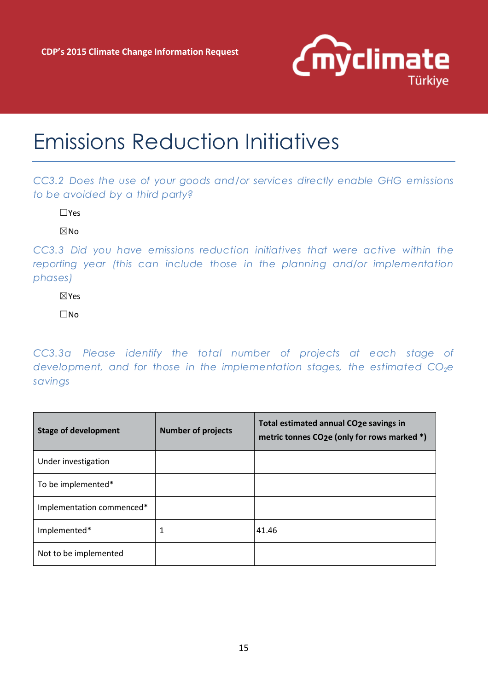

### Emissions Reduction Initiatives

*CC3.2 Does the use of your goods and/or services directly enable GHG emissions to be avoided by a third party?*

☐Yes

☒No

*CC3.3 Did you have emissions reduction initiatives that were active within the reporting year (this can include those in the planning and/or implementation phases)*

☒Yes

☐No

*CC3.3a Please identify the total number of projects at each stage of development, and for those in the implementation stages, the estimated CO2e savings*

| <b>Stage of development</b> | <b>Number of projects</b> | Total estimated annual CO2e savings in<br>metric tonnes CO2e (only for rows marked *) |
|-----------------------------|---------------------------|---------------------------------------------------------------------------------------|
| Under investigation         |                           |                                                                                       |
| To be implemented*          |                           |                                                                                       |
| Implementation commenced*   |                           |                                                                                       |
| Implemented*                | 1                         | 41.46                                                                                 |
| Not to be implemented       |                           |                                                                                       |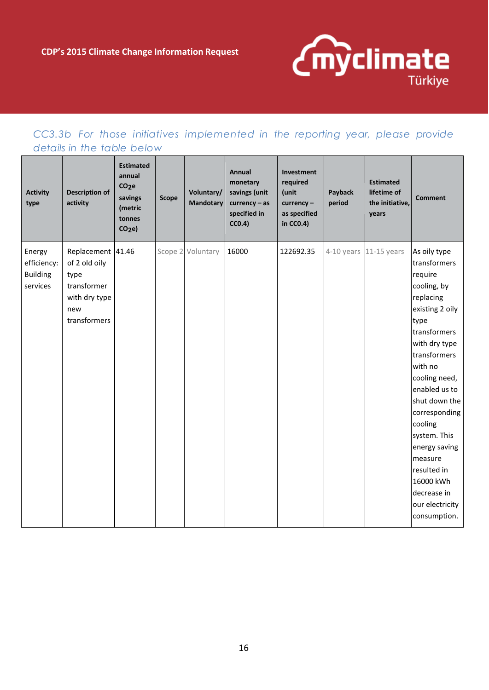

### *CC3.3b For those initiatives implemented in the reporting year, please provide details in the table below*

| <b>Activity</b><br>type                              | <b>Description of</b><br>activity                                                                 | <b>Estimated</b><br>annual<br>CO <sub>2</sub> e<br>savings<br>(metric<br>tonnes<br>CO <sub>2</sub> e | <b>Scope</b> | Voluntary/<br><b>Mandotary</b> | <b>Annual</b><br>monetary<br>savings (unit<br>$curve < -$ as<br>specified in<br>CC0.4) | Investment<br>required<br>(unit<br>$curve$ ncy -<br>as specified<br>in CC0.4) | Payback<br>period | <b>Estimated</b><br>lifetime of<br>the initiative,<br>years | <b>Comment</b>                                                                                                                                                                                                                                                                                                                                                      |
|------------------------------------------------------|---------------------------------------------------------------------------------------------------|------------------------------------------------------------------------------------------------------|--------------|--------------------------------|----------------------------------------------------------------------------------------|-------------------------------------------------------------------------------|-------------------|-------------------------------------------------------------|---------------------------------------------------------------------------------------------------------------------------------------------------------------------------------------------------------------------------------------------------------------------------------------------------------------------------------------------------------------------|
| Energy<br>efficiency:<br><b>Building</b><br>services | Replacement 41.46<br>of 2 old oily<br>type<br>transformer<br>with dry type<br>new<br>transformers |                                                                                                      |              | Scope 2 Voluntary              | 16000                                                                                  | 122692.35                                                                     |                   | 4-10 years 11-15 years                                      | As oily type<br>transformers<br>require<br>cooling, by<br>replacing<br>existing 2 oily<br>type<br>transformers<br>with dry type<br>transformers<br>with no<br>cooling need,<br>enabled us to<br>shut down the<br>corresponding<br>cooling<br>system. This<br>energy saving<br>measure<br>resulted in<br>16000 kWh<br>decrease in<br>our electricity<br>consumption. |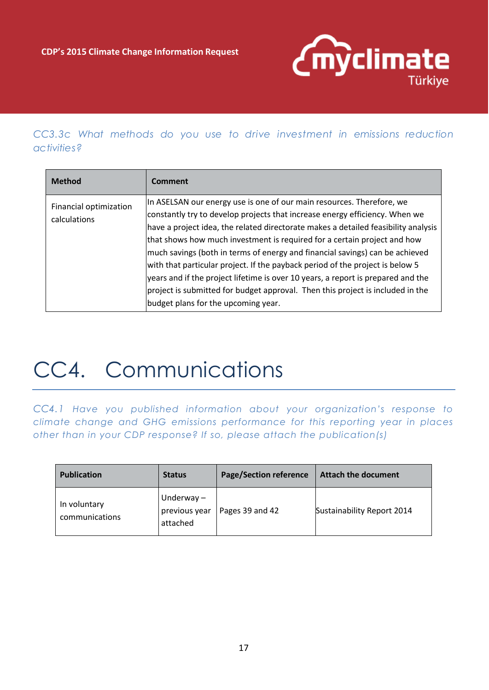

*CC3.3c What methods do you use to drive investment in emissions reduction activities?*

| <b>Method</b>                          | Comment                                                                                                                                                                                                                                                                                                                                                                                                                                                                                                                                                                                                                                                                                              |
|----------------------------------------|------------------------------------------------------------------------------------------------------------------------------------------------------------------------------------------------------------------------------------------------------------------------------------------------------------------------------------------------------------------------------------------------------------------------------------------------------------------------------------------------------------------------------------------------------------------------------------------------------------------------------------------------------------------------------------------------------|
| Financial optimization<br>calculations | In ASELSAN our energy use is one of our main resources. Therefore, we<br>constantly try to develop projects that increase energy efficiency. When we<br>have a project idea, the related directorate makes a detailed feasibility analysis<br>that shows how much investment is required for a certain project and how<br>much savings (both in terms of energy and financial savings) can be achieved<br>with that particular project. If the payback period of the project is below 5<br>years and if the project lifetime is over 10 years, a report is prepared and the<br>project is submitted for budget approval. Then this project is included in the<br>budget plans for the upcoming year. |

# CC4. Communications

*CC4.1 Have you published information about your organization's response to climate change and GHG emissions performance for this reporting year in places other than in your CDP response? If so, please attach the publication(s)* 

| <b>Publication</b>             | <b>Status</b>                             | <b>Page/Section reference</b> | <b>Attach the document</b> |
|--------------------------------|-------------------------------------------|-------------------------------|----------------------------|
| In voluntary<br>communications | Underway $-$<br>previous year<br>attached | Pages 39 and 42               | Sustainability Report 2014 |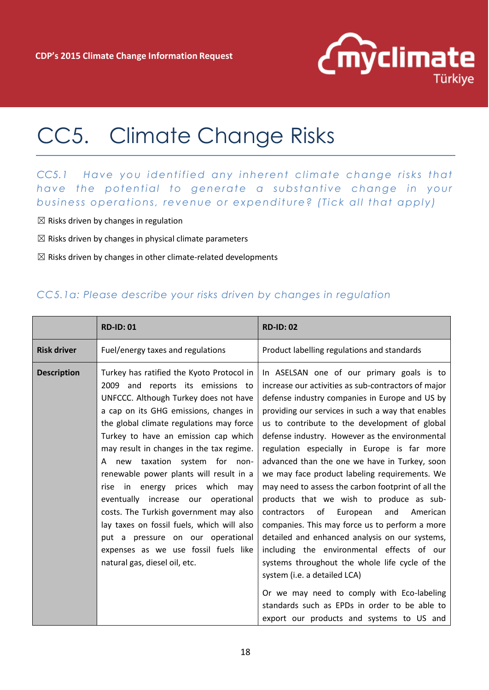

## CC5. Climate Change Risks

### *CC5.1* Have you identified any inherent climate change risks that *have the potential to generate a substantive change in your business operations, revenue or expenditure? (Tick all that apply)*

- $\boxtimes$  Risks driven by changes in regulation
- $\boxtimes$  Risks driven by changes in physical climate parameters
- $\boxtimes$  Risks driven by changes in other climate-related developments

#### *CC5.1a: Please describe your risks driven by changes in regulation*

|                    | <b>RD-ID: 01</b>                                                                                                                                                                                                                                                                                                                                                                                                                                                                                                                                                                                                                                                           | <b>RD-ID: 02</b>                                                                                                                                                                                                                                                                                                                                                                                                                                                                                                                                                                                                                                                                                                                                                                                                                                                                                                                                                                                  |
|--------------------|----------------------------------------------------------------------------------------------------------------------------------------------------------------------------------------------------------------------------------------------------------------------------------------------------------------------------------------------------------------------------------------------------------------------------------------------------------------------------------------------------------------------------------------------------------------------------------------------------------------------------------------------------------------------------|---------------------------------------------------------------------------------------------------------------------------------------------------------------------------------------------------------------------------------------------------------------------------------------------------------------------------------------------------------------------------------------------------------------------------------------------------------------------------------------------------------------------------------------------------------------------------------------------------------------------------------------------------------------------------------------------------------------------------------------------------------------------------------------------------------------------------------------------------------------------------------------------------------------------------------------------------------------------------------------------------|
| <b>Risk driver</b> | Fuel/energy taxes and regulations                                                                                                                                                                                                                                                                                                                                                                                                                                                                                                                                                                                                                                          | Product labelling regulations and standards                                                                                                                                                                                                                                                                                                                                                                                                                                                                                                                                                                                                                                                                                                                                                                                                                                                                                                                                                       |
| <b>Description</b> | Turkey has ratified the Kyoto Protocol in<br>2009 and reports its emissions to<br>UNFCCC. Although Turkey does not have<br>a cap on its GHG emissions, changes in<br>the global climate regulations may force<br>Turkey to have an emission cap which<br>may result in changes in the tax regime.<br>new taxation system for non-<br>A<br>renewable power plants will result in a<br>in energy prices which<br>rise<br>may<br>eventually increase our<br>operational<br>costs. The Turkish government may also<br>lay taxes on fossil fuels, which will also<br>put a pressure on our operational<br>expenses as we use fossil fuels like<br>natural gas, diesel oil, etc. | In ASELSAN one of our primary goals is to<br>increase our activities as sub-contractors of major<br>defense industry companies in Europe and US by<br>providing our services in such a way that enables<br>us to contribute to the development of global<br>defense industry. However as the environmental<br>regulation especially in Europe is far more<br>advanced than the one we have in Turkey, soon<br>we may face product labeling requirements. We<br>may need to assess the carbon footprint of all the<br>products that we wish to produce as sub-<br>contractors<br>of<br>European<br>and<br>American<br>companies. This may force us to perform a more<br>detailed and enhanced analysis on our systems,<br>including the environmental effects of our<br>systems throughout the whole life cycle of the<br>system (i.e. a detailed LCA)<br>Or we may need to comply with Eco-labeling<br>standards such as EPDs in order to be able to<br>export our products and systems to US and |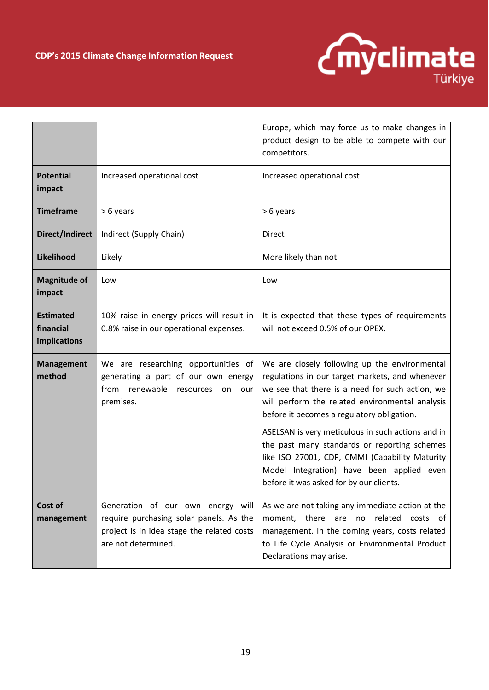

|                                               |                                                                                                                                                   | Europe, which may force us to make changes in<br>product design to be able to compete with our<br>competitors.                                                                                                                                                                                                                                                                                                                                                                                      |
|-----------------------------------------------|---------------------------------------------------------------------------------------------------------------------------------------------------|-----------------------------------------------------------------------------------------------------------------------------------------------------------------------------------------------------------------------------------------------------------------------------------------------------------------------------------------------------------------------------------------------------------------------------------------------------------------------------------------------------|
| <b>Potential</b><br>impact                    | Increased operational cost                                                                                                                        | Increased operational cost                                                                                                                                                                                                                                                                                                                                                                                                                                                                          |
| <b>Timeframe</b>                              | > 6 years                                                                                                                                         | > 6 years                                                                                                                                                                                                                                                                                                                                                                                                                                                                                           |
| Direct/Indirect                               | Indirect (Supply Chain)                                                                                                                           | <b>Direct</b>                                                                                                                                                                                                                                                                                                                                                                                                                                                                                       |
| Likelihood                                    | Likely                                                                                                                                            | More likely than not                                                                                                                                                                                                                                                                                                                                                                                                                                                                                |
| <b>Magnitude of</b><br>impact                 | Low                                                                                                                                               | Low                                                                                                                                                                                                                                                                                                                                                                                                                                                                                                 |
| <b>Estimated</b><br>financial<br>implications | 10% raise in energy prices will result in<br>0.8% raise in our operational expenses.                                                              | It is expected that these types of requirements<br>will not exceed 0.5% of our OPEX.                                                                                                                                                                                                                                                                                                                                                                                                                |
| <b>Management</b><br>method                   | We are researching opportunities of<br>generating a part of our own energy<br>renewable<br>from<br>resources<br>on<br>our<br>premises.            | We are closely following up the environmental<br>regulations in our target markets, and whenever<br>we see that there is a need for such action, we<br>will perform the related environmental analysis<br>before it becomes a regulatory obligation.<br>ASELSAN is very meticulous in such actions and in<br>the past many standards or reporting schemes<br>like ISO 27001, CDP, CMMI (Capability Maturity<br>Model Integration) have been applied even<br>before it was asked for by our clients. |
| Cost of<br>management                         | Generation of our own energy will<br>require purchasing solar panels. As the<br>project is in idea stage the related costs<br>are not determined. | As we are not taking any immediate action at the<br>no related costs of<br>moment, there are<br>management. In the coming years, costs related<br>to Life Cycle Analysis or Environmental Product<br>Declarations may arise.                                                                                                                                                                                                                                                                        |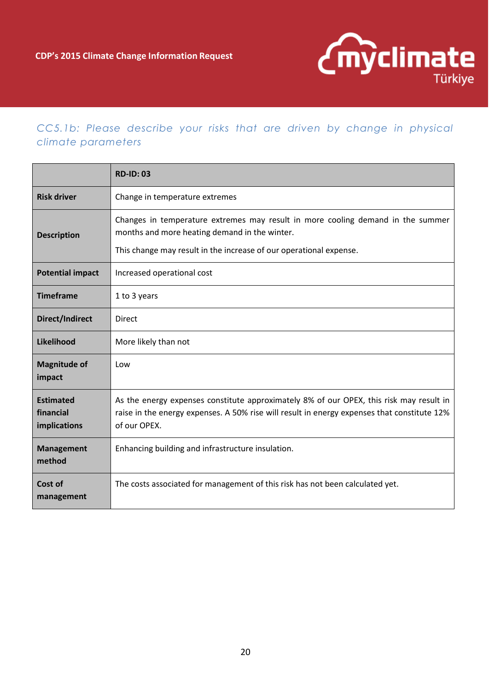

### *CC5.1b: Please describe your risks that are driven by change in physical climate parameters*

|                                                                                                                                                                                                                              | <b>RD-ID: 03</b>                                                                                                                                                                                       |
|------------------------------------------------------------------------------------------------------------------------------------------------------------------------------------------------------------------------------|--------------------------------------------------------------------------------------------------------------------------------------------------------------------------------------------------------|
| <b>Risk driver</b>                                                                                                                                                                                                           | Change in temperature extremes                                                                                                                                                                         |
| Changes in temperature extremes may result in more cooling demand in the summer<br>months and more heating demand in the winter.<br><b>Description</b><br>This change may result in the increase of our operational expense. |                                                                                                                                                                                                        |
| <b>Potential impact</b>                                                                                                                                                                                                      | Increased operational cost                                                                                                                                                                             |
| <b>Timeframe</b>                                                                                                                                                                                                             | 1 to 3 years                                                                                                                                                                                           |
| Direct/Indirect                                                                                                                                                                                                              | <b>Direct</b>                                                                                                                                                                                          |
| Likelihood                                                                                                                                                                                                                   | More likely than not                                                                                                                                                                                   |
| <b>Magnitude of</b><br>impact                                                                                                                                                                                                | Low                                                                                                                                                                                                    |
| <b>Estimated</b><br>financial<br>implications                                                                                                                                                                                | As the energy expenses constitute approximately 8% of our OPEX, this risk may result in<br>raise in the energy expenses. A 50% rise will result in energy expenses that constitute 12%<br>of our OPEX. |
| <b>Management</b><br>method                                                                                                                                                                                                  | Enhancing building and infrastructure insulation.                                                                                                                                                      |
| Cost of<br>management                                                                                                                                                                                                        | The costs associated for management of this risk has not been calculated yet.                                                                                                                          |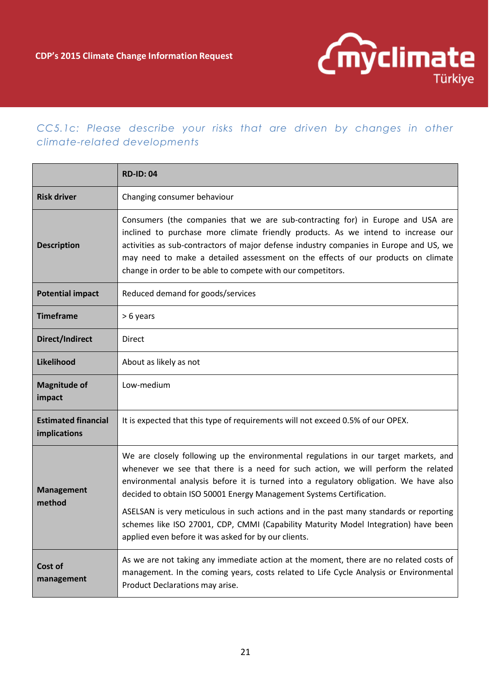

### *CC5.1c: Please describe your risks that are driven by changes in other climate-related developments*

|                                            | <b>RD-ID: 04</b>                                                                                                                                                                                                                                                                                                                                                                                                  |  |  |
|--------------------------------------------|-------------------------------------------------------------------------------------------------------------------------------------------------------------------------------------------------------------------------------------------------------------------------------------------------------------------------------------------------------------------------------------------------------------------|--|--|
| <b>Risk driver</b>                         | Changing consumer behaviour                                                                                                                                                                                                                                                                                                                                                                                       |  |  |
| <b>Description</b>                         | Consumers (the companies that we are sub-contracting for) in Europe and USA are<br>inclined to purchase more climate friendly products. As we intend to increase our<br>activities as sub-contractors of major defense industry companies in Europe and US, we<br>may need to make a detailed assessment on the effects of our products on climate<br>change in order to be able to compete with our competitors. |  |  |
| <b>Potential impact</b>                    | Reduced demand for goods/services                                                                                                                                                                                                                                                                                                                                                                                 |  |  |
| <b>Timeframe</b>                           | > 6 years                                                                                                                                                                                                                                                                                                                                                                                                         |  |  |
| Direct/Indirect                            | Direct                                                                                                                                                                                                                                                                                                                                                                                                            |  |  |
| Likelihood                                 | About as likely as not                                                                                                                                                                                                                                                                                                                                                                                            |  |  |
| <b>Magnitude of</b><br>impact              | Low-medium                                                                                                                                                                                                                                                                                                                                                                                                        |  |  |
| <b>Estimated financial</b><br>implications | It is expected that this type of requirements will not exceed 0.5% of our OPEX.                                                                                                                                                                                                                                                                                                                                   |  |  |
| <b>Management</b><br>method                | We are closely following up the environmental regulations in our target markets, and<br>whenever we see that there is a need for such action, we will perform the related<br>environmental analysis before it is turned into a regulatory obligation. We have also<br>decided to obtain ISO 50001 Energy Management Systems Certification.                                                                        |  |  |
|                                            | ASELSAN is very meticulous in such actions and in the past many standards or reporting<br>schemes like ISO 27001, CDP, CMMI (Capability Maturity Model Integration) have been<br>applied even before it was asked for by our clients.                                                                                                                                                                             |  |  |
| Cost of<br>management                      | As we are not taking any immediate action at the moment, there are no related costs of<br>management. In the coming years, costs related to Life Cycle Analysis or Environmental<br>Product Declarations may arise.                                                                                                                                                                                               |  |  |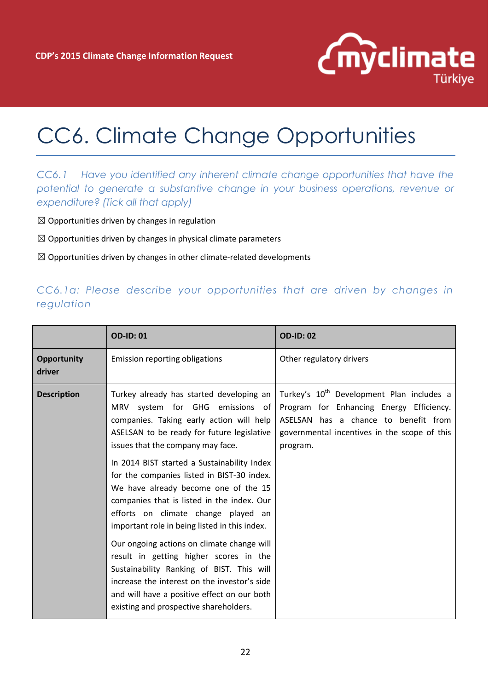

## CC6. Climate Change Opportunities

*CC6.1 Have you identified any inherent climate change opportunities that have the potential to generate a substantive change in your business operations, revenue or expenditure? (Tick all that apply)*

- $\boxtimes$  Opportunities driven by changes in regulation
- $\boxtimes$  Opportunities driven by changes in physical climate parameters
- $\boxtimes$  Opportunities driven by changes in other climate-related developments

### *CC6.1a: Please describe your opportunities that are driven by changes in regulation*

|                              | <b>OD-ID: 01</b>                                                                                                                                                                                                                                                                                                                                                                                                                                                                                                                                                                                                                                                                                                                                                    | <b>OD-ID: 02</b>                                                                                                                                                                                      |
|------------------------------|---------------------------------------------------------------------------------------------------------------------------------------------------------------------------------------------------------------------------------------------------------------------------------------------------------------------------------------------------------------------------------------------------------------------------------------------------------------------------------------------------------------------------------------------------------------------------------------------------------------------------------------------------------------------------------------------------------------------------------------------------------------------|-------------------------------------------------------------------------------------------------------------------------------------------------------------------------------------------------------|
| <b>Opportunity</b><br>driver | Emission reporting obligations                                                                                                                                                                                                                                                                                                                                                                                                                                                                                                                                                                                                                                                                                                                                      | Other regulatory drivers                                                                                                                                                                              |
| <b>Description</b>           | Turkey already has started developing an<br>MRV system for GHG emissions of<br>companies. Taking early action will help<br>ASELSAN to be ready for future legislative<br>issues that the company may face.<br>In 2014 BIST started a Sustainability Index<br>for the companies listed in BIST-30 index.<br>We have already become one of the 15<br>companies that is listed in the index. Our<br>efforts on climate change played an<br>important role in being listed in this index.<br>Our ongoing actions on climate change will<br>result in getting higher scores in the<br>Sustainability Ranking of BIST. This will<br>increase the interest on the investor's side<br>and will have a positive effect on our both<br>existing and prospective shareholders. | Turkey's 10 <sup>th</sup> Development Plan includes a<br>Program for Enhancing Energy Efficiency.<br>ASELSAN has a chance to benefit from<br>governmental incentives in the scope of this<br>program. |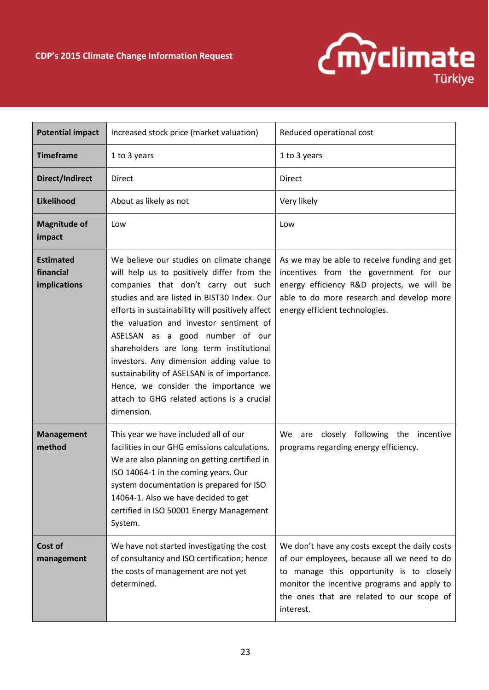

| <b>Potential impact</b>                                                                                                                                                                                                                                                                                                                                  | Increased stock price (market valuation)                                                                                                                                                                                                                                                                                                                                                                                                                                                                                                                  | Reduced operational cost                                                                                                                                                                                                                           |  |
|----------------------------------------------------------------------------------------------------------------------------------------------------------------------------------------------------------------------------------------------------------------------------------------------------------------------------------------------------------|-----------------------------------------------------------------------------------------------------------------------------------------------------------------------------------------------------------------------------------------------------------------------------------------------------------------------------------------------------------------------------------------------------------------------------------------------------------------------------------------------------------------------------------------------------------|----------------------------------------------------------------------------------------------------------------------------------------------------------------------------------------------------------------------------------------------------|--|
|                                                                                                                                                                                                                                                                                                                                                          |                                                                                                                                                                                                                                                                                                                                                                                                                                                                                                                                                           |                                                                                                                                                                                                                                                    |  |
| <b>Timeframe</b>                                                                                                                                                                                                                                                                                                                                         | 1 to 3 years                                                                                                                                                                                                                                                                                                                                                                                                                                                                                                                                              | 1 to 3 years                                                                                                                                                                                                                                       |  |
| Direct/Indirect                                                                                                                                                                                                                                                                                                                                          | <b>Direct</b>                                                                                                                                                                                                                                                                                                                                                                                                                                                                                                                                             | <b>Direct</b>                                                                                                                                                                                                                                      |  |
| Likelihood                                                                                                                                                                                                                                                                                                                                               | About as likely as not                                                                                                                                                                                                                                                                                                                                                                                                                                                                                                                                    | Very likely                                                                                                                                                                                                                                        |  |
| <b>Magnitude of</b><br>impact                                                                                                                                                                                                                                                                                                                            | Low                                                                                                                                                                                                                                                                                                                                                                                                                                                                                                                                                       | Low                                                                                                                                                                                                                                                |  |
| <b>Estimated</b><br>financial<br>implications                                                                                                                                                                                                                                                                                                            | We believe our studies on climate change<br>will help us to positively differ from the<br>companies that don't carry out such<br>studies and are listed in BIST30 Index. Our<br>efforts in sustainability will positively affect<br>the valuation and investor sentiment of<br>ASELSAN as a good number of our<br>shareholders are long term institutional<br>investors. Any dimension adding value to<br>sustainability of ASELSAN is of importance.<br>Hence, we consider the importance we<br>attach to GHG related actions is a crucial<br>dimension. | As we may be able to receive funding and get<br>incentives from the government for our<br>energy efficiency R&D projects, we will be<br>able to do more research and develop more<br>energy efficient technologies.                                |  |
| <b>Management</b><br>This year we have included all of our<br>method<br>facilities in our GHG emissions calculations.<br>We are also planning on getting certified in<br>ISO 14064-1 in the coming years. Our<br>system documentation is prepared for ISO<br>14064-1. Also we have decided to get<br>certified in ISO 50001 Energy Management<br>System. |                                                                                                                                                                                                                                                                                                                                                                                                                                                                                                                                                           | We are closely following the incentive<br>programs regarding energy efficiency.                                                                                                                                                                    |  |
| Cost of<br>management                                                                                                                                                                                                                                                                                                                                    | We have not started investigating the cost<br>of consultancy and ISO certification; hence<br>the costs of management are not yet<br>determined.                                                                                                                                                                                                                                                                                                                                                                                                           | We don't have any costs except the daily costs<br>of our employees, because all we need to do<br>to manage this opportunity is to closely<br>monitor the incentive programs and apply to<br>the ones that are related to our scope of<br>interest. |  |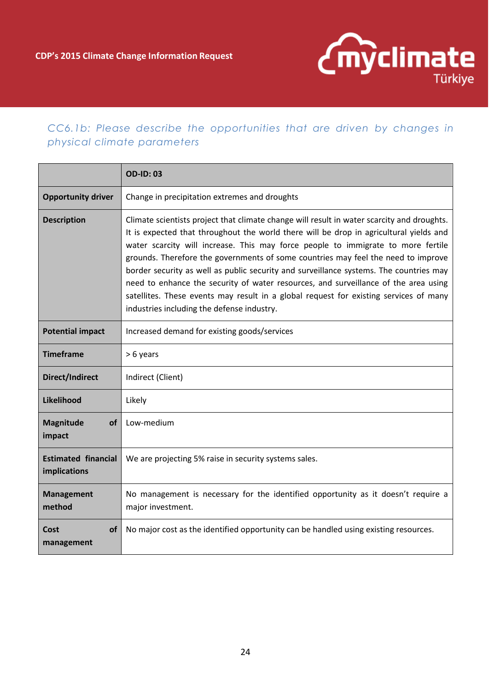

### *CC6.1b: Please describe the opportunities that are driven by changes in physical climate parameters*

|                                                                                                                                       | <b>OD-ID: 03</b>                                                                                                                                                                                                                                                                                                                                                                                                                                                                                                                                                                                                                                                                      |  |
|---------------------------------------------------------------------------------------------------------------------------------------|---------------------------------------------------------------------------------------------------------------------------------------------------------------------------------------------------------------------------------------------------------------------------------------------------------------------------------------------------------------------------------------------------------------------------------------------------------------------------------------------------------------------------------------------------------------------------------------------------------------------------------------------------------------------------------------|--|
| <b>Opportunity driver</b>                                                                                                             | Change in precipitation extremes and droughts                                                                                                                                                                                                                                                                                                                                                                                                                                                                                                                                                                                                                                         |  |
| <b>Description</b>                                                                                                                    | Climate scientists project that climate change will result in water scarcity and droughts.<br>It is expected that throughout the world there will be drop in agricultural yields and<br>water scarcity will increase. This may force people to immigrate to more fertile<br>grounds. Therefore the governments of some countries may feel the need to improve<br>border security as well as public security and surveillance systems. The countries may<br>need to enhance the security of water resources, and surveillance of the area using<br>satellites. These events may result in a global request for existing services of many<br>industries including the defense industry. |  |
| <b>Potential impact</b>                                                                                                               | Increased demand for existing goods/services                                                                                                                                                                                                                                                                                                                                                                                                                                                                                                                                                                                                                                          |  |
| <b>Timeframe</b>                                                                                                                      | > 6 years                                                                                                                                                                                                                                                                                                                                                                                                                                                                                                                                                                                                                                                                             |  |
| <b>Direct/Indirect</b>                                                                                                                | Indirect (Client)                                                                                                                                                                                                                                                                                                                                                                                                                                                                                                                                                                                                                                                                     |  |
| Likelihood                                                                                                                            | Likely                                                                                                                                                                                                                                                                                                                                                                                                                                                                                                                                                                                                                                                                                |  |
| Magnitude<br>οf<br>impact                                                                                                             | Low-medium                                                                                                                                                                                                                                                                                                                                                                                                                                                                                                                                                                                                                                                                            |  |
| <b>Estimated financial</b><br>implications                                                                                            | We are projecting 5% raise in security systems sales.                                                                                                                                                                                                                                                                                                                                                                                                                                                                                                                                                                                                                                 |  |
| No management is necessary for the identified opportunity as it doesn't require a<br><b>Management</b><br>method<br>major investment. |                                                                                                                                                                                                                                                                                                                                                                                                                                                                                                                                                                                                                                                                                       |  |
| <b>of</b><br>Cost<br>management                                                                                                       | No major cost as the identified opportunity can be handled using existing resources.                                                                                                                                                                                                                                                                                                                                                                                                                                                                                                                                                                                                  |  |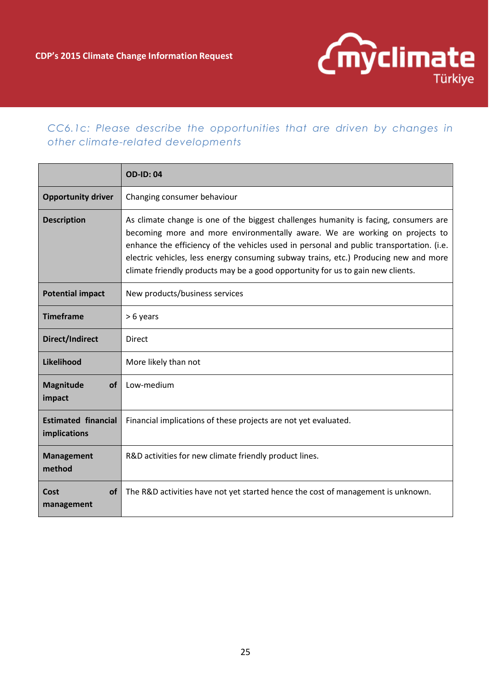

### *CC6.1c: Please describe the opportunities that are driven by changes in other climate-related developments*

|                                                                                                                                                                                                                                                                                                                                                                                                                                                                  | <b>OD-ID: 04</b>                                                                 |  |  |
|------------------------------------------------------------------------------------------------------------------------------------------------------------------------------------------------------------------------------------------------------------------------------------------------------------------------------------------------------------------------------------------------------------------------------------------------------------------|----------------------------------------------------------------------------------|--|--|
| <b>Opportunity driver</b>                                                                                                                                                                                                                                                                                                                                                                                                                                        | Changing consumer behaviour                                                      |  |  |
| As climate change is one of the biggest challenges humanity is facing, consumers are<br><b>Description</b><br>becoming more and more environmentally aware. We are working on projects to<br>enhance the efficiency of the vehicles used in personal and public transportation. (i.e.<br>electric vehicles, less energy consuming subway trains, etc.) Producing new and more<br>climate friendly products may be a good opportunity for us to gain new clients. |                                                                                  |  |  |
| <b>Potential impact</b>                                                                                                                                                                                                                                                                                                                                                                                                                                          | New products/business services                                                   |  |  |
| <b>Timeframe</b>                                                                                                                                                                                                                                                                                                                                                                                                                                                 | > 6 years                                                                        |  |  |
| Direct/Indirect                                                                                                                                                                                                                                                                                                                                                                                                                                                  | <b>Direct</b>                                                                    |  |  |
| Likelihood                                                                                                                                                                                                                                                                                                                                                                                                                                                       | More likely than not                                                             |  |  |
| <b>Magnitude</b><br><b>of</b><br>impact                                                                                                                                                                                                                                                                                                                                                                                                                          | Low-medium                                                                       |  |  |
| <b>Estimated financial</b><br>implications                                                                                                                                                                                                                                                                                                                                                                                                                       | Financial implications of these projects are not yet evaluated.                  |  |  |
| <b>Management</b><br>method                                                                                                                                                                                                                                                                                                                                                                                                                                      | R&D activities for new climate friendly product lines.                           |  |  |
| <b>of</b><br>Cost<br>management                                                                                                                                                                                                                                                                                                                                                                                                                                  | The R&D activities have not yet started hence the cost of management is unknown. |  |  |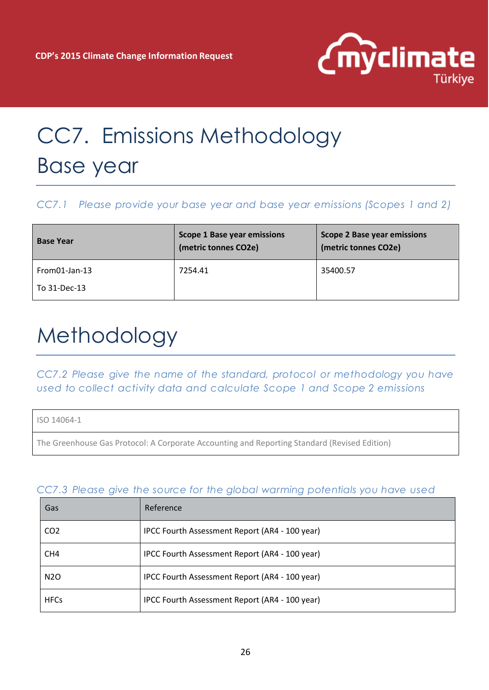

# CC7. Emissions Methodology Base year

#### *CC7.1 Please provide your base year and base year emissions (Scopes 1 and 2)*

| <b>Base Year</b> | <b>Scope 1 Base year emissions</b><br>(metric tonnes CO2e) | <b>Scope 2 Base year emissions</b><br>(metric tonnes CO2e) |
|------------------|------------------------------------------------------------|------------------------------------------------------------|
| $From 01-Jan-13$ | 7254.41                                                    | 35400.57                                                   |
| To 31-Dec-13     |                                                            |                                                            |

## Methodology

*CC7.2 Please give the name of the standard, protocol or methodology you have used to collect activity data and calculate Scope 1 and Scope 2 emissions*

ISO 14064-1

The Greenhouse Gas Protocol: A Corporate Accounting and Reporting Standard (Revised Edition)

| Gas              | Reference                                      |
|------------------|------------------------------------------------|
| CO <sub>2</sub>  | IPCC Fourth Assessment Report (AR4 - 100 year) |
| CH <sub>4</sub>  | IPCC Fourth Assessment Report (AR4 - 100 year) |
| N <sub>2</sub> O | IPCC Fourth Assessment Report (AR4 - 100 year) |
| <b>HFCs</b>      | IPCC Fourth Assessment Report (AR4 - 100 year) |

#### *CC7.3 Please give the source for the global warming potentials you have used*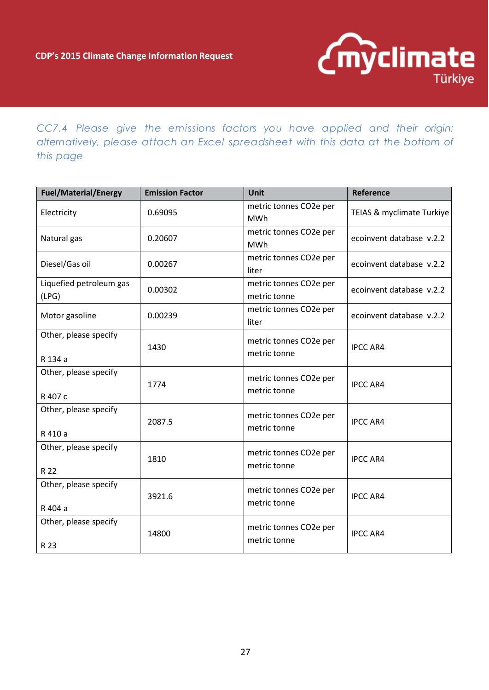

*CC7.4 Please give the emissions factors you have applied and their origin; alternatively, please attach an Excel spreadsheet with this data at the bottom of this page* 

| <b>Fuel/Material/Energy</b>      | <b>Emission Factor</b> | Unit                                   | <b>Reference</b>          |
|----------------------------------|------------------------|----------------------------------------|---------------------------|
| Electricity                      | 0.69095                | metric tonnes CO2e per<br>MWh          | TEIAS & myclimate Turkiye |
| Natural gas                      | 0.20607                | metric tonnes CO2e per<br><b>MWh</b>   | ecoinvent database v.2.2  |
| Diesel/Gas oil                   | 0.00267                | metric tonnes CO2e per<br>liter        | ecoinvent database v.2.2  |
| Liquefied petroleum gas<br>(LPG) | 0.00302                | metric tonnes CO2e per<br>metric tonne | ecoinvent database v.2.2  |
| Motor gasoline                   | 0.00239                | metric tonnes CO2e per<br>liter        | ecoinvent database v.2.2  |
| Other, please specify<br>R 134 a | 1430                   | metric tonnes CO2e per<br>metric tonne | <b>IPCC AR4</b>           |
| Other, please specify<br>R 407 c | 1774                   | metric tonnes CO2e per<br>metric tonne | <b>IPCC AR4</b>           |
| Other, please specify<br>R 410 a | 2087.5                 | metric tonnes CO2e per<br>metric tonne | <b>IPCC AR4</b>           |
| Other, please specify<br>R 22    | 1810                   | metric tonnes CO2e per<br>metric tonne | <b>IPCC AR4</b>           |
| Other, please specify<br>R 404 a | 3921.6                 | metric tonnes CO2e per<br>metric tonne | <b>IPCC AR4</b>           |
| Other, please specify<br>R 23    | 14800                  | metric tonnes CO2e per<br>metric tonne | <b>IPCC AR4</b>           |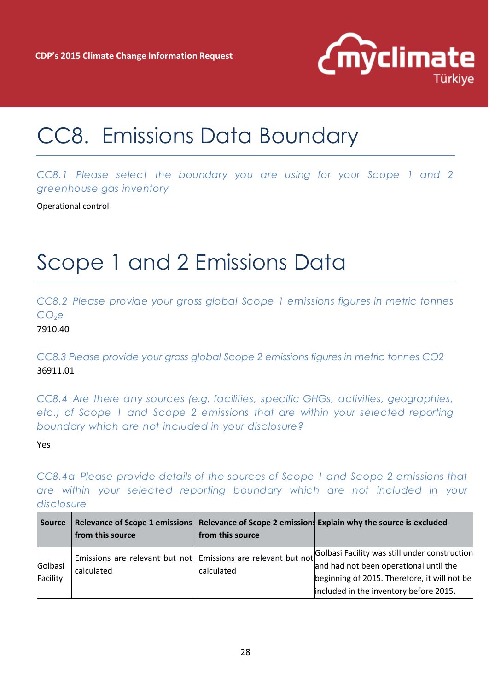

## CC8. Emissions Data Boundary

*CC8.1 Please select the boundary you are using for your Scope 1 and 2 greenhouse gas inventory*

Operational control

### Scope 1 and 2 Emissions Data

*CC8.2 Please provide your gross global Scope 1 emissions figures in metric tonnes CO2e*

7910.40

*CC8.3 Please provide your gross global Scope 2 emissions figures in metric tonnes CO2* 36911.01

*CC8.4 Are there any sources (e.g. facilities, specific GHGs, activities, geographies, etc.) of Scope 1 and Scope 2 emissions that are within your selected reporting boundary which are not included in your disclosure?* 

Yes

*CC8.4a Please provide details of the sources of Scope 1 and Scope 2 emissions that are within your selected reporting boundary which are not included in your disclosure*

| <b>Source</b>       | from this source | from this source | Relevance of Scope 1 emissions Relevance of Scope 2 emissions Explain why the source is excluded                                                                                                                                                |
|---------------------|------------------|------------------|-------------------------------------------------------------------------------------------------------------------------------------------------------------------------------------------------------------------------------------------------|
| Golbasi<br>Facility | calculated       | calculated       | Emissions are relevant but not Emissions are relevant but not Golbasi Facility was still under construction<br>and had not been operational until the<br>beginning of 2015. Therefore, it will not be<br>included in the inventory before 2015. |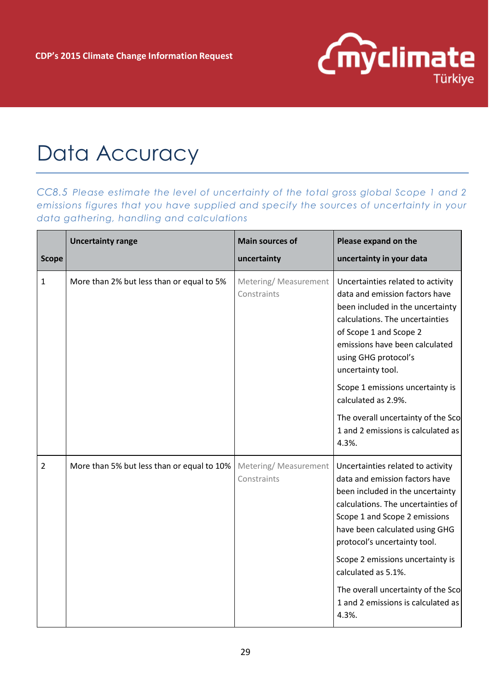

## Data Accuracy

*CC8.5 Please estimate the level of uncertainty of the total gross global Scope 1 and 2 emissions figures that you have supplied and specify the sources of uncertainty in your data gathering, handling and calculations* 

|                | <b>Uncertainty range</b>                   | <b>Main sources of</b>               | Please expand on the                                                                                                                                                                                                                                |
|----------------|--------------------------------------------|--------------------------------------|-----------------------------------------------------------------------------------------------------------------------------------------------------------------------------------------------------------------------------------------------------|
| <b>Scope</b>   |                                            | uncertainty                          | uncertainty in your data                                                                                                                                                                                                                            |
| $\mathbf{1}$   | More than 2% but less than or equal to 5%  | Metering/ Measurement<br>Constraints | Uncertainties related to activity<br>data and emission factors have<br>been included in the uncertainty<br>calculations. The uncertainties<br>of Scope 1 and Scope 2<br>emissions have been calculated<br>using GHG protocol's<br>uncertainty tool. |
|                |                                            |                                      | Scope 1 emissions uncertainty is<br>calculated as 2.9%.                                                                                                                                                                                             |
|                |                                            |                                      | The overall uncertainty of the Sco<br>1 and 2 emissions is calculated as<br>4.3%.                                                                                                                                                                   |
| $\overline{2}$ | More than 5% but less than or equal to 10% | Metering/Measurement<br>Constraints  | Uncertainties related to activity<br>data and emission factors have<br>been included in the uncertainty<br>calculations. The uncertainties of<br>Scope 1 and Scope 2 emissions<br>have been calculated using GHG<br>protocol's uncertainty tool.    |
|                |                                            |                                      | Scope 2 emissions uncertainty is<br>calculated as 5.1%.                                                                                                                                                                                             |
|                |                                            |                                      | The overall uncertainty of the Sco<br>1 and 2 emissions is calculated as<br>4.3%.                                                                                                                                                                   |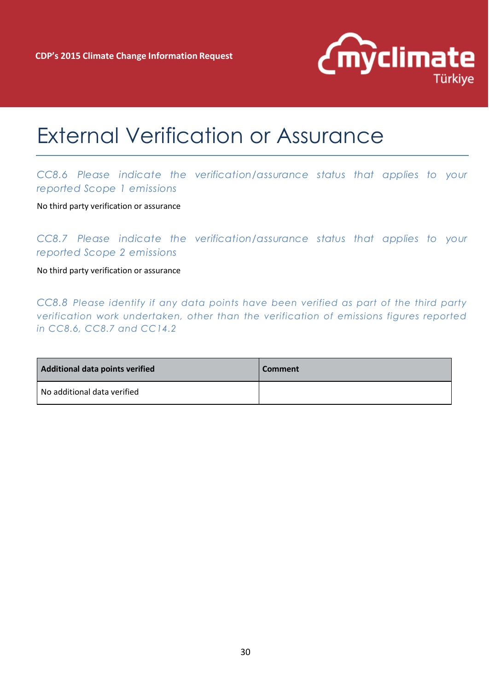

### External Verification or Assurance

### *CC8.6 Please indicate the verification/assurance status that applies to your reported Scope 1 emissions*

No third party verification or assurance

*CC8.7 Please indicate the verification/assurance status that applies to your reported Scope 2 emissions*

No third party verification or assurance

*CC8.8 Please identify if any data points have been verified as part of the third party verification work undertaken, other than the verification of emissions figures reported in CC8.6, CC8.7 and CC14.2* 

| Additional data points verified | <b>Comment</b> |
|---------------------------------|----------------|
| No additional data verified     |                |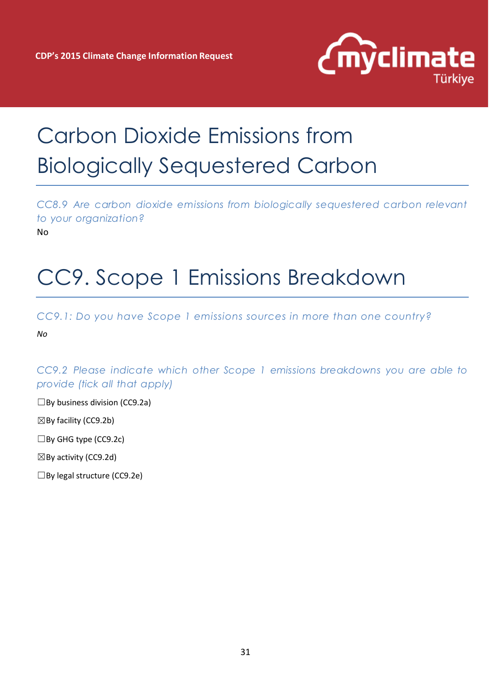

# Carbon Dioxide Emissions from Biologically Sequestered Carbon

*CC8.9 Are carbon dioxide emissions from biologically sequestered carbon relevant to your organization?* No

## CC9. Scope 1 Emissions Breakdown

*CC9.1: Do you have Scope 1 emissions sources in more than one country?* 

*No*

*CC9.2 Please indicate which other Scope 1 emissions breakdowns you are able to provide (tick all that apply)*

 $\Box$ By business division (CC9.2a)

 $\boxtimes$  By facility (CC9.2b)

☐By GHG type (CC9.2c)

 $\boxtimes$  By activity (CC9.2d)

☐By legal structure (CC9.2e)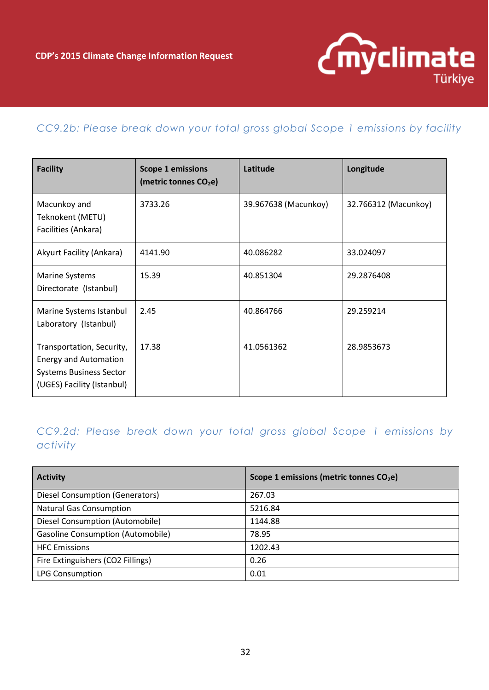

### *CC9.2b: Please break down your total gross global Scope 1 emissions by facility*

| <b>Facility</b>                                                                                                           | <b>Scope 1 emissions</b><br>(metric tonnes CO <sub>2</sub> e) | Latitude             | Longitude            |
|---------------------------------------------------------------------------------------------------------------------------|---------------------------------------------------------------|----------------------|----------------------|
| Macunkoy and<br>Teknokent (METU)<br>Facilities (Ankara)                                                                   | 3733.26                                                       | 39.967638 (Macunkoy) | 32.766312 (Macunkoy) |
| Akyurt Facility (Ankara)                                                                                                  | 4141.90                                                       | 40.086282            | 33.024097            |
| <b>Marine Systems</b><br>Directorate (Istanbul)                                                                           | 15.39                                                         | 40.851304            | 29.2876408           |
| Marine Systems Istanbul<br>Laboratory (Istanbul)                                                                          | 2.45                                                          | 40.864766            | 29.259214            |
| Transportation, Security,<br><b>Energy and Automation</b><br><b>Systems Business Sector</b><br>(UGES) Facility (Istanbul) | 17.38                                                         | 41.0561362           | 28.9853673           |

### *CC9.2d: Please break down your total gross global Scope 1 emissions by activity*

| <b>Activity</b>                          | Scope 1 emissions (metric tonnes CO <sub>2</sub> e) |
|------------------------------------------|-----------------------------------------------------|
| Diesel Consumption (Generators)          | 267.03                                              |
| <b>Natural Gas Consumption</b>           | 5216.84                                             |
| Diesel Consumption (Automobile)          | 1144.88                                             |
| <b>Gasoline Consumption (Automobile)</b> | 78.95                                               |
| <b>HFC</b> Emissions                     | 1202.43                                             |
| Fire Extinguishers (CO2 Fillings)        | 0.26                                                |
| <b>LPG Consumption</b>                   | 0.01                                                |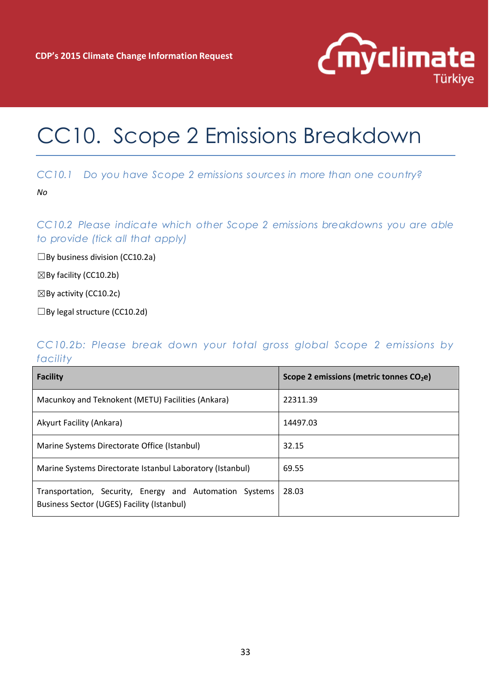

### CC10. Scope 2 Emissions Breakdown

#### *CC10.1 Do you have Scope 2 emissions sources in more than one country?*

*No*

*CC10.2 Please indicate which other Scope 2 emissions breakdowns you are able to provide (tick all that apply)*

 $\square$ By business division (CC10.2a)

 $\boxtimes$  By facility (CC10.2b)

 $\boxtimes$  By activity (CC10.2c)

☐By legal structure (CC10.2d)

#### *CC10.2b: Please break down your total gross global Scope 2 emissions by facility*

| <b>Facility</b>                                                                                       | Scope 2 emissions (metric tonnes $CO2e$ ) |
|-------------------------------------------------------------------------------------------------------|-------------------------------------------|
| Macunkoy and Teknokent (METU) Facilities (Ankara)                                                     | 22311.39                                  |
| Akyurt Facility (Ankara)                                                                              | 14497.03                                  |
| Marine Systems Directorate Office (Istanbul)                                                          | 32.15                                     |
| Marine Systems Directorate Istanbul Laboratory (Istanbul)                                             | 69.55                                     |
| Transportation, Security, Energy and Automation Systems<br>Business Sector (UGES) Facility (Istanbul) | 28.03                                     |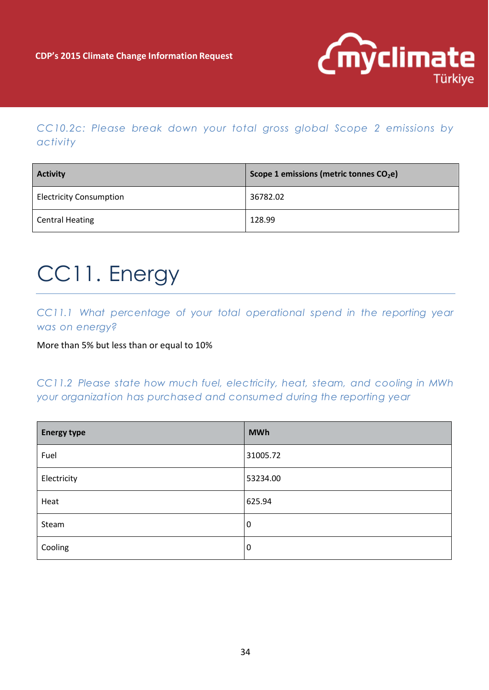

*CC10.2c: Please break down your total gross global Scope 2 emissions by activity*

| <b>Activity</b>                | Scope 1 emissions (metric tonnes $CO2e$ ) |  |
|--------------------------------|-------------------------------------------|--|
| <b>Electricity Consumption</b> | 36782.02                                  |  |
| <b>Central Heating</b>         | 128.99                                    |  |

## CC11. Energy

*CC11.1 What percentage of your total operational spend in the reporting year was on energy?*

More than 5% but less than or equal to 10%

*CC11.2 Please state how much fuel, electricity, heat, steam, and cooling in MWh your organization has purchased and consumed during the reporting year*

| <b>Energy type</b> | <b>MWh</b>       |
|--------------------|------------------|
| Fuel               | 31005.72         |
| Electricity        | 53234.00         |
| Heat               | 625.94           |
| Steam              | $\boldsymbol{0}$ |
| Cooling            | $\boldsymbol{0}$ |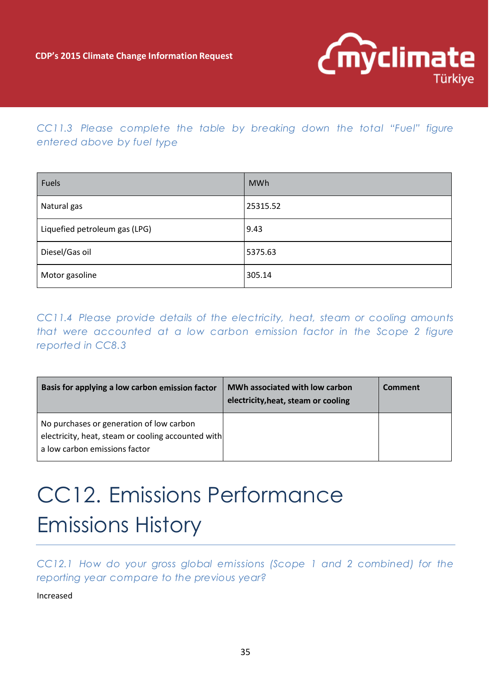

### *CC11.3 Please complete the table by breaking down the total "Fuel" figure entered above by fuel type*

| Fuels                         | <b>MWh</b> |
|-------------------------------|------------|
| Natural gas                   | 25315.52   |
| Liquefied petroleum gas (LPG) | 9.43       |
| Diesel/Gas oil                | 5375.63    |
| Motor gasoline                | 305.14     |

*CC11.4 Please provide details of the electricity, heat, steam or cooling amounts that were accounted at a low carbon emission factor in the Scope 2 figure reported in CC8.3*

| Basis for applying a low carbon emission factor                                                                                 | MWh associated with low carbon<br>electricity, heat, steam or cooling | Comment |
|---------------------------------------------------------------------------------------------------------------------------------|-----------------------------------------------------------------------|---------|
| No purchases or generation of low carbon<br>electricity, heat, steam or cooling accounted with<br>a low carbon emissions factor |                                                                       |         |

# CC12. Emissions Performance Emissions History

*CC12.1 How do your gross global emissions (Scope 1 and 2 combined) for the reporting year compare to the previous year?*

Increased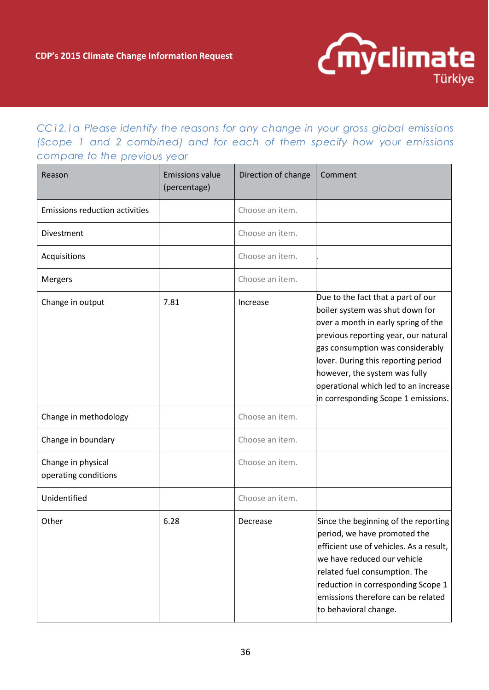

*CC12.1a Please identify the reasons for any change in your gross global emissions (Scope 1 and 2 combined) and for each of them specify how your emissions compare to the previous year*

| Reason                                     | <b>Emissions value</b><br>(percentage) | Direction of change | Comment                                                                                                                                                                                                                                                                                                                                         |
|--------------------------------------------|----------------------------------------|---------------------|-------------------------------------------------------------------------------------------------------------------------------------------------------------------------------------------------------------------------------------------------------------------------------------------------------------------------------------------------|
| <b>Emissions reduction activities</b>      |                                        | Choose an item.     |                                                                                                                                                                                                                                                                                                                                                 |
| Divestment                                 |                                        | Choose an item.     |                                                                                                                                                                                                                                                                                                                                                 |
| Acquisitions                               |                                        | Choose an item.     |                                                                                                                                                                                                                                                                                                                                                 |
| Mergers                                    |                                        | Choose an item.     |                                                                                                                                                                                                                                                                                                                                                 |
| Change in output                           | 7.81                                   | Increase            | Due to the fact that a part of our<br>boiler system was shut down for<br>over a month in early spring of the<br>previous reporting year, our natural<br>gas consumption was considerably<br>lover. During this reporting period<br>however, the system was fully<br>operational which led to an increase<br>in corresponding Scope 1 emissions. |
| Change in methodology                      |                                        | Choose an item.     |                                                                                                                                                                                                                                                                                                                                                 |
| Change in boundary                         |                                        | Choose an item.     |                                                                                                                                                                                                                                                                                                                                                 |
| Change in physical<br>operating conditions |                                        | Choose an item.     |                                                                                                                                                                                                                                                                                                                                                 |
| Unidentified                               |                                        | Choose an item.     |                                                                                                                                                                                                                                                                                                                                                 |
| Other                                      | 6.28                                   | Decrease            | Since the beginning of the reporting<br>period, we have promoted the<br>efficient use of vehicles. As a result,<br>we have reduced our vehicle<br>related fuel consumption. The<br>reduction in corresponding Scope 1<br>emissions therefore can be related<br>to behavioral change.                                                            |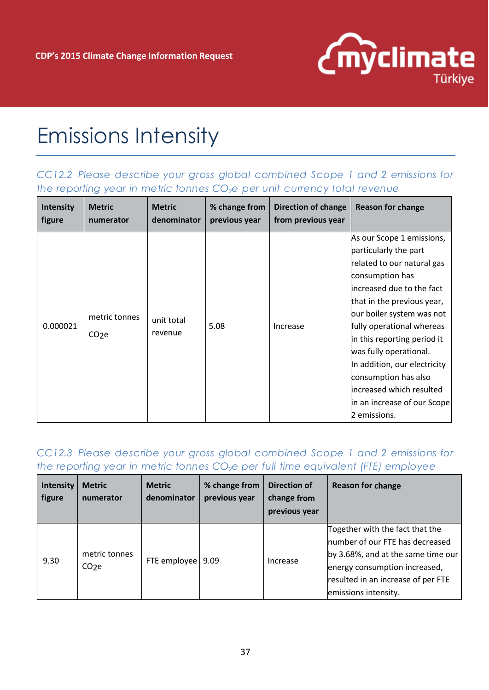

### Emissions Intensity

### *CC12.2 Please describe your gross global combined Scope 1 and 2 emissions for the reporting year in metric tonnes CO2e per unit currency total revenue*

| <b>Intensity</b> | <b>Metric</b>                      | <b>Metric</b>         | % change from | Direction of change | Reason for change                                                                                                                                                                                                                                                                                                                                                                                                    |
|------------------|------------------------------------|-----------------------|---------------|---------------------|----------------------------------------------------------------------------------------------------------------------------------------------------------------------------------------------------------------------------------------------------------------------------------------------------------------------------------------------------------------------------------------------------------------------|
| figure           | numerator                          | denominator           | previous year | from previous year  |                                                                                                                                                                                                                                                                                                                                                                                                                      |
| 0.000021         | metric tonnes<br>CO <sub>2</sub> e | unit total<br>revenue | 5.08          | Increase            | As our Scope 1 emissions,<br>particularly the part<br>related to our natural gas<br>consumption has<br>increased due to the fact<br>that in the previous year,<br>our boiler system was not<br>fully operational whereas<br>in this reporting period it<br>was fully operational.<br>In addition, our electricity<br>consumption has also<br>increased which resulted<br>in an increase of our Scope<br>2 emissions. |

#### *CC12.3 Please describe your gross global combined Scope 1 and 2 emissions for the reporting year in metric tonnes CO2e per full time equivalent (FTE) employee*

| Intensity<br>figure | <b>Metric</b><br>numerator         | <b>Metric</b><br>denominator | % change from<br>previous year | <b>Direction of</b><br>change from<br>previous year | <b>Reason for change</b>                                                                                                                                                                                 |
|---------------------|------------------------------------|------------------------------|--------------------------------|-----------------------------------------------------|----------------------------------------------------------------------------------------------------------------------------------------------------------------------------------------------------------|
| 9.30                | metric tonnes<br>CO <sub>2</sub> e | FTE employee   9.09          |                                | Increase                                            | Together with the fact that the<br>Inumber of our FTE has decreased<br>by 3.68%, and at the same time our<br>energy consumption increased,<br>resulted in an increase of per FTE<br>emissions intensity. |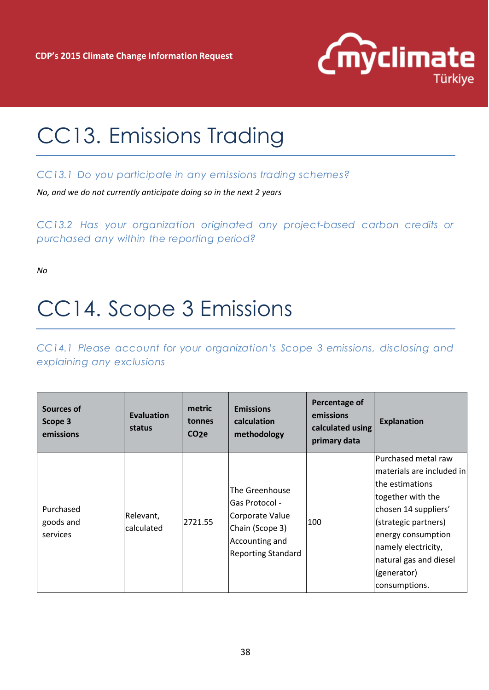

## CC13. Emissions Trading

#### *CC13.1 Do you participate in any emissions trading schemes?*

*No, and we do not currently anticipate doing so in the next 2 years*

*CC13.2 Has your organization originated any project-based carbon credits or purchased any within the reporting period?*

*No*

## CC14. Scope 3 Emissions

*CC14.1 Please account for your organization's Scope 3 emissions, disclosing and explaining any exclusions*

| Sources of<br>Scope 3<br>emissions | <b>Evaluation</b><br>status | metric<br>tonnes<br>CO <sub>2</sub> e | <b>Emissions</b><br>calculation<br>methodology                                                                        | Percentage of<br>emissions<br>calculated using<br>primary data | <b>Explanation</b>                                                                                                                                                                                                                               |
|------------------------------------|-----------------------------|---------------------------------------|-----------------------------------------------------------------------------------------------------------------------|----------------------------------------------------------------|--------------------------------------------------------------------------------------------------------------------------------------------------------------------------------------------------------------------------------------------------|
| Purchased<br>goods and<br>services | Relevant,<br>calculated     | 2721.55                               | The Greenhouse<br>Gas Protocol -<br>Corporate Value<br>Chain (Scope 3)<br>Accounting and<br><b>Reporting Standard</b> | 100                                                            | Purchased metal raw<br>materials are included in<br>lthe estimations<br>together with the<br>chosen 14 suppliers'<br>(strategic partners)<br>energy consumption<br>namely electricity,<br>natural gas and diesel<br>(generator)<br>consumptions. |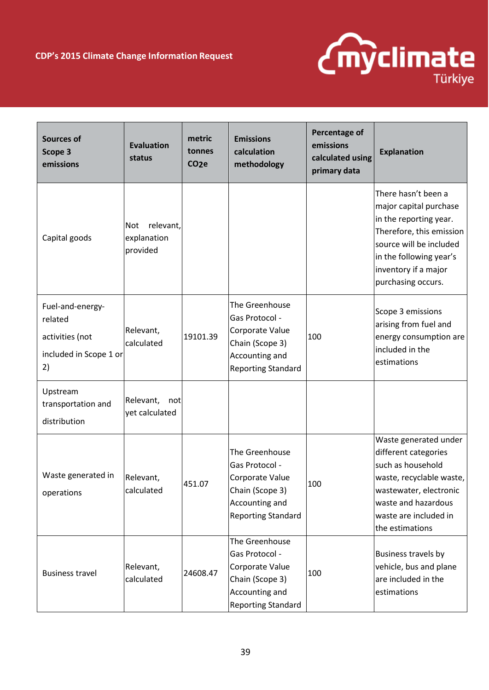

| <b>Sources of</b><br>Scope 3<br>emissions                                      | <b>Evaluation</b><br>status                        | metric<br>tonnes<br>CO <sub>2</sub> e | <b>Emissions</b><br>calculation<br>methodology                                                                        | Percentage of<br>emissions<br>calculated using<br>primary data | <b>Explanation</b>                                                                                                                                                                                      |
|--------------------------------------------------------------------------------|----------------------------------------------------|---------------------------------------|-----------------------------------------------------------------------------------------------------------------------|----------------------------------------------------------------|---------------------------------------------------------------------------------------------------------------------------------------------------------------------------------------------------------|
| Capital goods                                                                  | relevant,<br><b>Not</b><br>explanation<br>provided |                                       |                                                                                                                       |                                                                | There hasn't been a<br>major capital purchase<br>in the reporting year.<br>Therefore, this emission<br>source will be included<br>in the following year's<br>inventory if a major<br>purchasing occurs. |
| Fuel-and-energy-<br>related<br>activities (not<br>included in Scope 1 or<br>2) | Relevant,<br>calculated                            | 19101.39                              | The Greenhouse<br>Gas Protocol -<br>Corporate Value<br>Chain (Scope 3)<br>Accounting and<br><b>Reporting Standard</b> | 100                                                            | Scope 3 emissions<br>arising from fuel and<br>energy consumption are<br>included in the<br>estimations                                                                                                  |
| Upstream<br>transportation and<br>distribution                                 | Relevant,<br>not<br>yet calculated                 |                                       |                                                                                                                       |                                                                |                                                                                                                                                                                                         |
| Waste generated in<br>operations                                               | Relevant,<br>calculated                            | 451.07                                | The Greenhouse<br>Gas Protocol -<br>Corporate Value<br>Chain (Scope 3)<br>Accounting and<br><b>Reporting Standard</b> | 100                                                            | Waste generated under<br>different categories<br>such as household<br>waste, recyclable waste,<br>wastewater, electronic<br>waste and hazardous<br>waste are included in<br>the estimations             |
| <b>Business travel</b>                                                         | Relevant,<br>calculated                            | 24608.47                              | The Greenhouse<br>Gas Protocol -<br>Corporate Value<br>Chain (Scope 3)<br>Accounting and<br><b>Reporting Standard</b> | 100                                                            | Business travels by<br>vehicle, bus and plane<br>are included in the<br>estimations                                                                                                                     |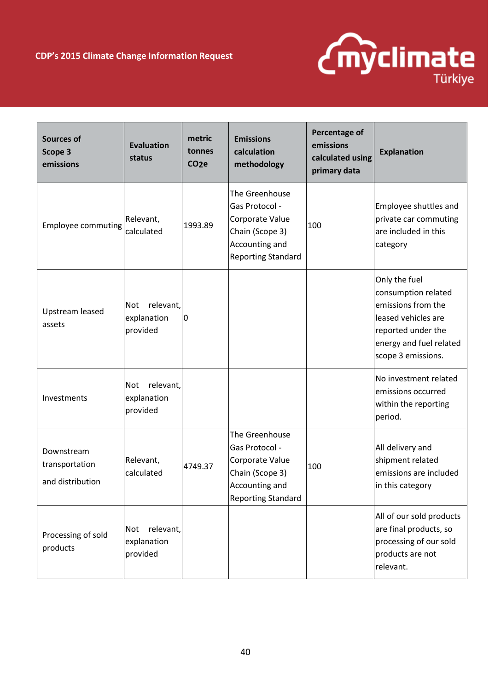

| <b>Sources of</b><br>Scope 3<br>emissions        | <b>Evaluation</b><br>status                        | metric<br>tonnes<br>CO <sub>2</sub> e | <b>Emissions</b><br>calculation<br>methodology                                                                        | Percentage of<br>emissions<br>calculated using<br>primary data | <b>Explanation</b>                                                                                                                                       |
|--------------------------------------------------|----------------------------------------------------|---------------------------------------|-----------------------------------------------------------------------------------------------------------------------|----------------------------------------------------------------|----------------------------------------------------------------------------------------------------------------------------------------------------------|
| <b>Employee commuting</b>                        | Relevant,<br>calculated                            | 1993.89                               | The Greenhouse<br>Gas Protocol -<br>Corporate Value<br>Chain (Scope 3)<br>Accounting and<br><b>Reporting Standard</b> | 100                                                            | Employee shuttles and<br>private car commuting<br>are included in this<br>category                                                                       |
| Upstream leased<br>assets                        | relevant,<br><b>Not</b><br>explanation<br>provided | 0                                     |                                                                                                                       |                                                                | Only the fuel<br>consumption related<br>emissions from the<br>leased vehicles are<br>reported under the<br>energy and fuel related<br>scope 3 emissions. |
| Investments                                      | relevant,<br><b>Not</b><br>explanation<br>provided |                                       |                                                                                                                       |                                                                | No investment related<br>emissions occurred<br>within the reporting<br>period.                                                                           |
| Downstream<br>transportation<br>and distribution | Relevant,<br>calculated                            | 4749.37                               | The Greenhouse<br>Gas Protocol -<br>Corporate Value<br>Chain (Scope 3)<br>Accounting and<br><b>Reporting Standard</b> | 100                                                            | All delivery and<br>shipment related<br>emissions are included<br>in this category                                                                       |
| Processing of sold<br>products                   | relevant,<br>Not<br>explanation<br>provided        |                                       |                                                                                                                       |                                                                | All of our sold products<br>are final products, so<br>processing of our sold<br>products are not<br>relevant.                                            |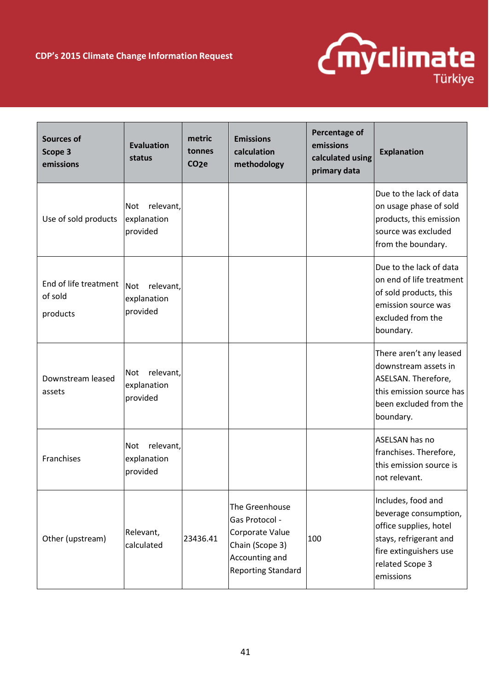

| <b>Sources of</b><br>Scope 3<br>emissions    | <b>Evaluation</b><br>status                        | metric<br>tonnes<br>CO <sub>2</sub> e | <b>Emissions</b><br>calculation<br>methodology                                                                        | Percentage of<br>emissions<br>calculated using<br>primary data | <b>Explanation</b>                                                                                                                                        |
|----------------------------------------------|----------------------------------------------------|---------------------------------------|-----------------------------------------------------------------------------------------------------------------------|----------------------------------------------------------------|-----------------------------------------------------------------------------------------------------------------------------------------------------------|
| Use of sold products                         | relevant,<br>Not<br>explanation<br>provided        |                                       |                                                                                                                       |                                                                | Due to the lack of data<br>on usage phase of sold<br>products, this emission<br>source was excluded<br>from the boundary.                                 |
| End of life treatment<br>of sold<br>products | relevant,<br><b>Not</b><br>explanation<br>provided |                                       |                                                                                                                       |                                                                | Due to the lack of data<br>on end of life treatment<br>of sold products, this<br>emission source was<br>excluded from the<br>boundary.                    |
| Downstream leased<br>assets                  | relevant,<br>Not<br>explanation<br>provided        |                                       |                                                                                                                       |                                                                | There aren't any leased<br>downstream assets in<br>ASELSAN. Therefore,<br>this emission source has<br>been excluded from the<br>boundary.                 |
| Franchises                                   | relevant,<br><b>Not</b><br>explanation<br>provided |                                       |                                                                                                                       |                                                                | <b>ASELSAN has no</b><br>franchises. Therefore,<br>this emission source is<br>not relevant.                                                               |
| Other (upstream)                             | Relevant,<br>calculated                            | 23436.41                              | The Greenhouse<br>Gas Protocol -<br>Corporate Value<br>Chain (Scope 3)<br>Accounting and<br><b>Reporting Standard</b> | 100                                                            | Includes, food and<br>beverage consumption,<br>office supplies, hotel<br>stays, refrigerant and<br>fire extinguishers use<br>related Scope 3<br>emissions |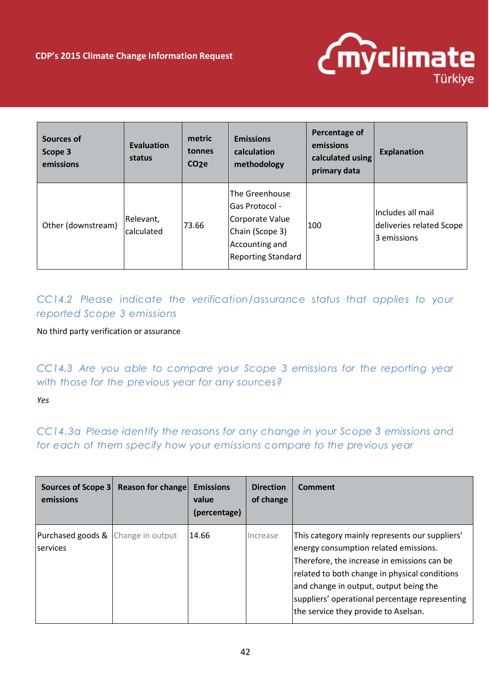

| <b>Sources of</b><br>Scope 3<br>emissions | <b>Evaluation</b><br>status    | metric<br>tonnes<br>CO <sub>2</sub> e | <b>Emissions</b><br>calculation<br>methodology                                                                               | Percentage of<br>emissions<br>calculated using<br>primary data | <b>Explanation</b>                                           |
|-------------------------------------------|--------------------------------|---------------------------------------|------------------------------------------------------------------------------------------------------------------------------|----------------------------------------------------------------|--------------------------------------------------------------|
| Other (downstream)                        | Relevant,<br><b>calculated</b> | 73.66                                 | The Greenhouse<br><b>Gas Protocol -</b><br>Corporate Value<br>Chain (Scope 3)<br>Accounting and<br><b>Reporting Standard</b> | 100                                                            | Includes all mail<br>deliveries related Scope<br>3 emissions |

*CC14.2 Please indicate the verification/assurance status that applies to your reported Scope 3 emissions*

#### No third party verification or assurance

*CC14.3 Are you able to compare your Scope 3 emissions for the reporting year with those for the previous year for any sources?*

#### *Yes*

*CC14.3a Please identify the reasons for any change in your Scope 3 emissions and for each of them specify how your emissions compare to the previous year* 

| emissions                                                        | Sources of Scope 3 Reason for change | <b>Emissions</b><br>value<br>(percentage) | <b>Direction</b><br>of change | Comment                                                                                                                                                                                                                                                                                                                     |
|------------------------------------------------------------------|--------------------------------------|-------------------------------------------|-------------------------------|-----------------------------------------------------------------------------------------------------------------------------------------------------------------------------------------------------------------------------------------------------------------------------------------------------------------------------|
| <b>Purchased goods &amp; Change in output</b><br><b>services</b> |                                      | 14.66                                     | Increase                      | This category mainly represents our suppliers'<br>energy consumption related emissions.<br>Therefore, the increase in emissions can be<br>related to both change in physical conditions<br>and change in output, output being the<br>suppliers' operational percentage representing<br>the service they provide to Aselsan. |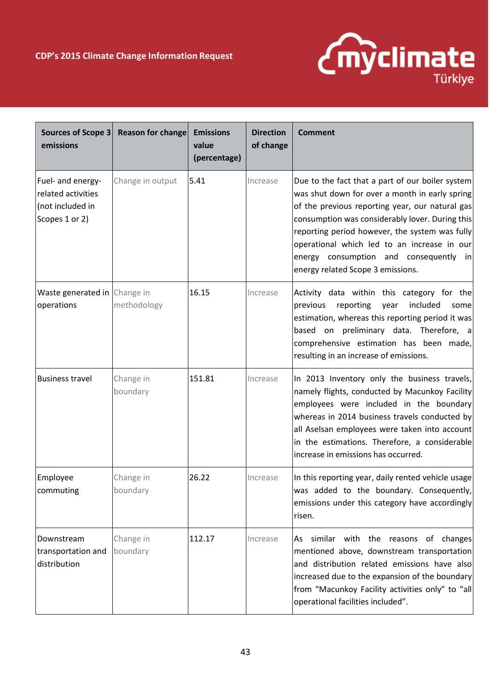

| Sources of Scope 3<br>emissions                                               | Reason for change     | <b>Emissions</b><br>value<br>(percentage) | <b>Direction</b><br>of change | <b>Comment</b>                                                                                                                                                                                                                                                                                                                                                                           |
|-------------------------------------------------------------------------------|-----------------------|-------------------------------------------|-------------------------------|------------------------------------------------------------------------------------------------------------------------------------------------------------------------------------------------------------------------------------------------------------------------------------------------------------------------------------------------------------------------------------------|
| Fuel- and energy-<br>related activities<br>(not included in<br>Scopes 1 or 2) | Change in output      | 5.41                                      | Increase                      | Due to the fact that a part of our boiler system<br>was shut down for over a month in early spring<br>of the previous reporting year, our natural gas<br>consumption was considerably lover. During this<br>reporting period however, the system was fully<br>operational which led to an increase in our<br>energy consumption and consequently in<br>energy related Scope 3 emissions. |
| Waste generated in Change in<br>operations                                    | methodology           | 16.15                                     | Increase                      | Activity data within this category for the<br>included<br>previous<br>reporting<br>year<br>some<br>estimation, whereas this reporting period it was<br>based on preliminary data. Therefore, a<br>comprehensive estimation has been made,<br>resulting in an increase of emissions.                                                                                                      |
| <b>Business travel</b>                                                        | Change in<br>boundary | 151.81                                    | Increase                      | In 2013 Inventory only the business travels,<br>namely flights, conducted by Macunkoy Facility<br>employees were included in the boundary<br>whereas in 2014 business travels conducted by<br>all Aselsan employees were taken into account<br>in the estimations. Therefore, a considerable<br>increase in emissions has occurred.                                                      |
| Employee<br>commuting                                                         | Change in<br>boundary | 26.22                                     | Increase                      | In this reporting year, daily rented vehicle usage<br>was added to the boundary. Consequently,<br>emissions under this category have accordingly<br>risen.                                                                                                                                                                                                                               |
| Downstream<br>transportation and<br>distribution                              | Change in<br>boundary | 112.17                                    | Increase                      | similar with the reasons of changes<br>As<br>mentioned above, downstream transportation<br>and distribution related emissions have also<br>increased due to the expansion of the boundary<br>from "Macunkoy Facility activities only" to "all<br>operational facilities included".                                                                                                       |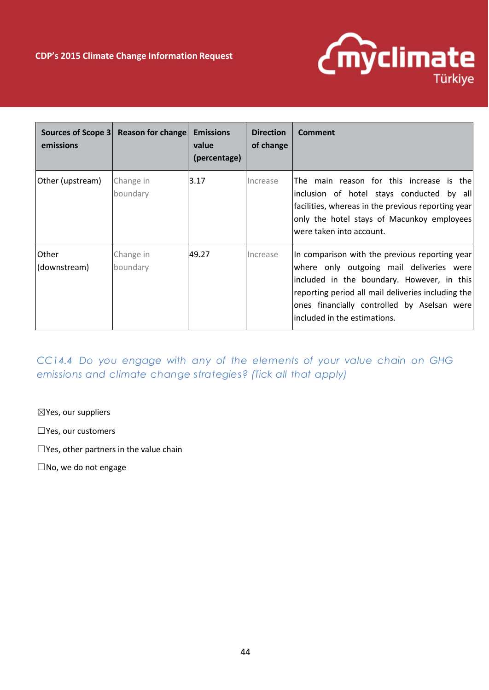

| emissions                    | Sources of Scope 3 Reason for change | <b>Emissions</b><br>value<br>(percentage) | <b>Direction</b><br>of change | Comment                                                                                                                                                                                                                                                                       |
|------------------------------|--------------------------------------|-------------------------------------------|-------------------------------|-------------------------------------------------------------------------------------------------------------------------------------------------------------------------------------------------------------------------------------------------------------------------------|
| Other (upstream)             | Change in<br>boundary                | 3.17                                      | Increase                      | The main reason for this increase is thel<br>inclusion of hotel stays conducted by all<br>facilities, whereas in the previous reporting year<br>only the hotel stays of Macunkoy employees<br>were taken into account.                                                        |
| <b>Other</b><br>(downstream) | Change in<br>boundary                | 49.27                                     | Increase                      | In comparison with the previous reporting year<br>where only outgoing mail deliveries were<br>included in the boundary. However, in this<br>reporting period all mail deliveries including the<br>ones financially controlled by Aselsan were<br>included in the estimations. |

*CC14.4 Do you engage with any of the elements of your value chain on GHG emissions and climate change strategies? (Tick all that apply)*

☒Yes, our suppliers

☐Yes, our customers

☐Yes, other partners in the value chain

☐No, we do not engage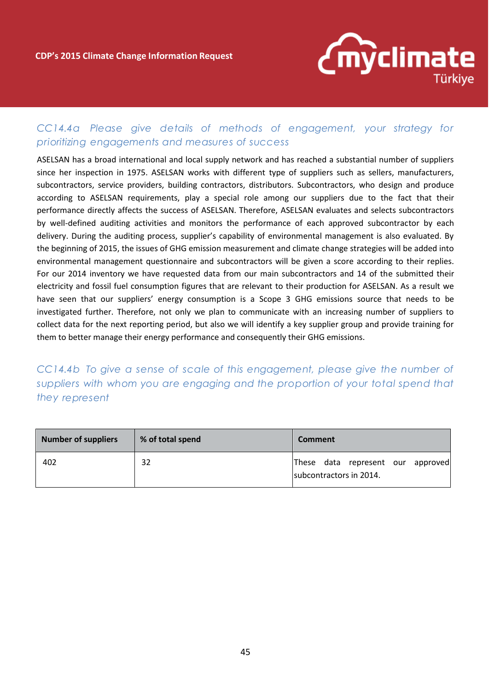

### *CC14.4a Please give details of methods of engagement, your strategy for prioritizing engagements and measures of success*

ASELSAN has a broad international and local supply network and has reached a substantial number of suppliers since her inspection in 1975. ASELSAN works with different type of suppliers such as sellers, manufacturers, subcontractors, service providers, building contractors, distributors. Subcontractors, who design and produce according to ASELSAN requirements, play a special role among our suppliers due to the fact that their performance directly affects the success of ASELSAN. Therefore, ASELSAN evaluates and selects subcontractors by well-defined auditing activities and monitors the performance of each approved subcontractor by each delivery. During the auditing process, supplier's capability of environmental management is also evaluated. By the beginning of 2015, the issues of GHG emission measurement and climate change strategies will be added into environmental management questionnaire and subcontractors will be given a score according to their replies. For our 2014 inventory we have requested data from our main subcontractors and 14 of the submitted their electricity and fossil fuel consumption figures that are relevant to their production for ASELSAN. As a result we have seen that our suppliers' energy consumption is a Scope 3 GHG emissions source that needs to be investigated further. Therefore, not only we plan to communicate with an increasing number of suppliers to collect data for the next reporting period, but also we will identify a key supplier group and provide training for them to better manage their energy performance and consequently their GHG emissions.

*CC14.4b To give a sense of scale of this engagement, please give the number of suppliers with whom you are engaging and the proportion of your total spend that they represent*

| Number of suppliers | % of total spend | <b>Comment</b>                                               |
|---------------------|------------------|--------------------------------------------------------------|
| 402                 | 32               | These data represent our approved<br>subcontractors in 2014. |